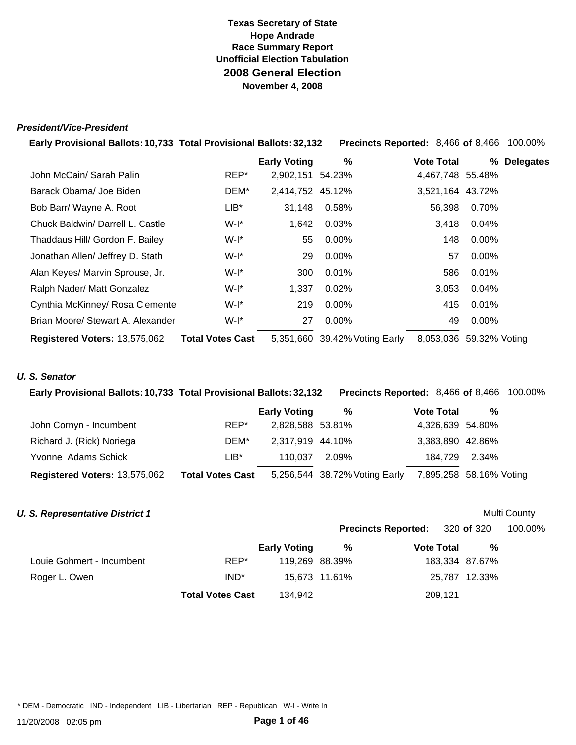#### *President/Vice-President*

| Early Provisional Ballots: 10,733 Total Provisional Ballots: 32,132 |                         |                     | <b>Precincts Reported: 8,466 of 8,466</b> |                   |               | 100.00%          |
|---------------------------------------------------------------------|-------------------------|---------------------|-------------------------------------------|-------------------|---------------|------------------|
|                                                                     |                         | <b>Early Voting</b> | %                                         | <b>Vote Total</b> | %             | <b>Delegates</b> |
| John McCain/ Sarah Palin                                            | REP*                    | 2,902,151 54.23%    |                                           | 4,467,748 55.48%  |               |                  |
| Barack Obama/ Joe Biden                                             | DEM*                    | 2,414,752 45.12%    |                                           | 3,521,164 43.72%  |               |                  |
| Bob Barr/ Wayne A. Root                                             | $LIB^*$                 | 31,148              | 0.58%                                     | 56,398            | 0.70%         |                  |
| Chuck Baldwin/ Darrell L. Castle                                    | W-I*                    | 1,642               | 0.03%                                     | 3,418             | $0.04\%$      |                  |
| Thaddaus Hill/ Gordon F. Bailey                                     | W-l*                    | 55                  | $0.00\%$                                  | 148               | $0.00\%$      |                  |
| Jonathan Allen/ Jeffrey D. Stath                                    | W-l*                    | 29                  | $0.00\%$                                  | 57                | $0.00\%$      |                  |
| Alan Keyes/ Marvin Sprouse, Jr.                                     | $W-I^*$                 | 300                 | 0.01%                                     | 586               | $0.01\%$      |                  |
| Ralph Nader/ Matt Gonzalez                                          | W-I*                    | 1,337               | 0.02%                                     | 3,053             | 0.04%         |                  |
| Cynthia McKinney/ Rosa Clemente                                     | W-I*                    | 219                 | $0.00\%$                                  | 415               | $0.01\%$      |                  |
| Brian Moore/ Stewart A. Alexander                                   | $W-I^*$                 | 27                  | $0.00\%$                                  | 49                | $0.00\%$      |                  |
| Registered Voters: 13,575,062                                       | <b>Total Votes Cast</b> |                     | 5,351,660 39.42% Voting Early             | 8,053,036         | 59.32% Voting |                  |

### *U. S. Senator*

| Early Provisional Ballots: 10,733 Total Provisional Ballots: 32,132 |                         |                     | <b>Precincts Reported: 8,466 of 8,466 100.00%</b> |                         |   |  |
|---------------------------------------------------------------------|-------------------------|---------------------|---------------------------------------------------|-------------------------|---|--|
|                                                                     |                         | <b>Early Voting</b> | %                                                 | <b>Vote Total</b>       | % |  |
| John Cornyn - Incumbent                                             | REP*                    | 2,828,588 53.81%    |                                                   | 4,326,639 54.80%        |   |  |
| Richard J. (Rick) Noriega                                           | DEM*                    | 2,317,919 44.10%    |                                                   | 3,383,890 42.86%        |   |  |
| Yvonne Adams Schick                                                 | $LIB*$                  | 110.037             | 2.09%                                             | 184,729 2.34%           |   |  |
| Registered Voters: 13,575,062                                       | <b>Total Votes Cast</b> |                     | 5,256,544 38.72% Voting Early                     | 7,895,258 58.16% Voting |   |  |

#### *U. S. Representative District 1*

| Multi County |
|--------------|
|              |

|                           |                         |                     |                | <b>Precincts Reported:</b> 320 of 320 |                | 100.00% |
|---------------------------|-------------------------|---------------------|----------------|---------------------------------------|----------------|---------|
|                           |                         | <b>Early Voting</b> | %              | <b>Vote Total</b>                     | %              |         |
| Louie Gohmert - Incumbent | REP*                    |                     | 119,269 88.39% |                                       | 183,334 87.67% |         |
| Roger L. Owen             | IND <sup>*</sup>        |                     | 15,673 11.61%  |                                       | 25,787 12.33%  |         |
|                           | <b>Total Votes Cast</b> | 134.942             |                | 209,121                               |                |         |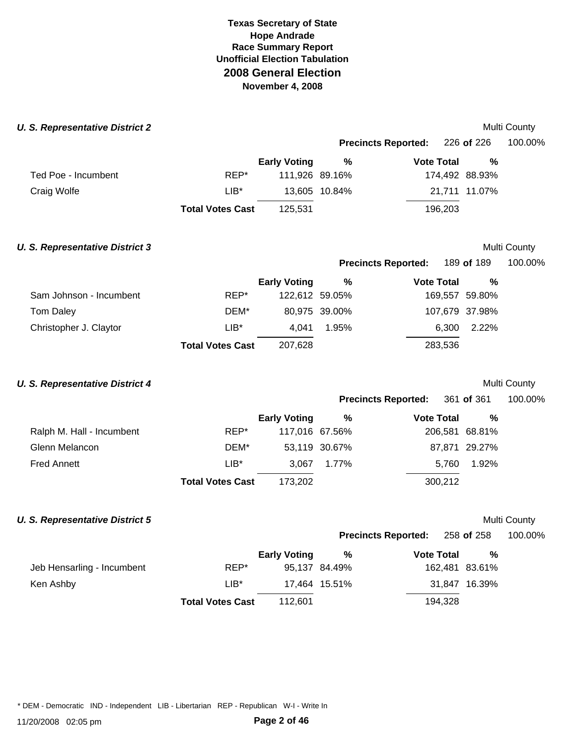#### **U. S. Representative District 2** and the set of the set of the set of the set of the set of the set of the set of the set of the set of the set of the set of the set of the set of the set of the set of the set of the set

|                     |                         |                     |                | <b>Precincts Reported:</b> 226 of 226 |                | 100.00% |
|---------------------|-------------------------|---------------------|----------------|---------------------------------------|----------------|---------|
|                     |                         | <b>Early Voting</b> | %              | <b>Vote Total</b>                     | %              |         |
| Ted Poe - Incumbent | REP*                    |                     | 111,926 89.16% |                                       | 174,492 88.93% |         |
| Craig Wolfe         | LIB*                    |                     | 13,605 10.84%  |                                       | 21,711 11.07%  |         |
|                     | <b>Total Votes Cast</b> | 125.531             |                | 196,203                               |                |         |

## **U. S. Representative District 3 Multi County Multi County Multi County Multi County**

|                         |                         | <b>Early Voting</b> | %             | <b>Vote Total</b> | %              |
|-------------------------|-------------------------|---------------------|---------------|-------------------|----------------|
| Sam Johnson - Incumbent | REP*                    | 122,612 59.05%      |               |                   | 169,557 59.80% |
| Tom Daley               | DEM*                    |                     | 80,975 39.00% | 107,679 37.98%    |                |
| Christopher J. Claytor  | $LIB*$                  | 4.041               | 1.95%         |                   | 6.300 2.22%    |
|                         | <b>Total Votes Cast</b> | 207,628             |               | 283,536           |                |

### **U. S. Representative District 4** and the set of the set of the set of the set of the Multi County

|                           |      |                     |               | <b>Precincts Reported:</b> 361 of 361 |                | 100.00% |  |
|---------------------------|------|---------------------|---------------|---------------------------------------|----------------|---------|--|
|                           |      | <b>Early Voting</b> | %             | <b>Vote Total</b>                     | %              |         |  |
| Ralph M. Hall - Incumbent | REP* | 117,016 67.56%      |               |                                       | 206,581 68.81% |         |  |
| Glenn Melancon            | DEM* |                     | 53,119 30.67% |                                       | 87,871 29.27%  |         |  |

**Precincts Reported:** 189 **of** 189 100.00%

Glenn Melancon DEM\* 53,119 3 Fred Annett LIB\* 3,067 1.77% 5,760 1.92% **Total Votes Cast** 173,202 300,212

## **U. S. Representative District 5 Multi County Multi County Multi County**

| Multi Countv |
|--------------|

**Precincts Reported:** 258 **of** 258 100.00%

|                            |                         | <b>Early Voting</b> | %             | <b>Vote Total</b> | %              |
|----------------------------|-------------------------|---------------------|---------------|-------------------|----------------|
| Jeb Hensarling - Incumbent | REP*                    |                     | 95,137 84.49% |                   | 162,481 83.61% |
| Ken Ashby                  | $LIB^*$                 |                     | 17.464 15.51% |                   | 31,847 16.39%  |
|                            | <b>Total Votes Cast</b> | 112.601             |               | 194,328           |                |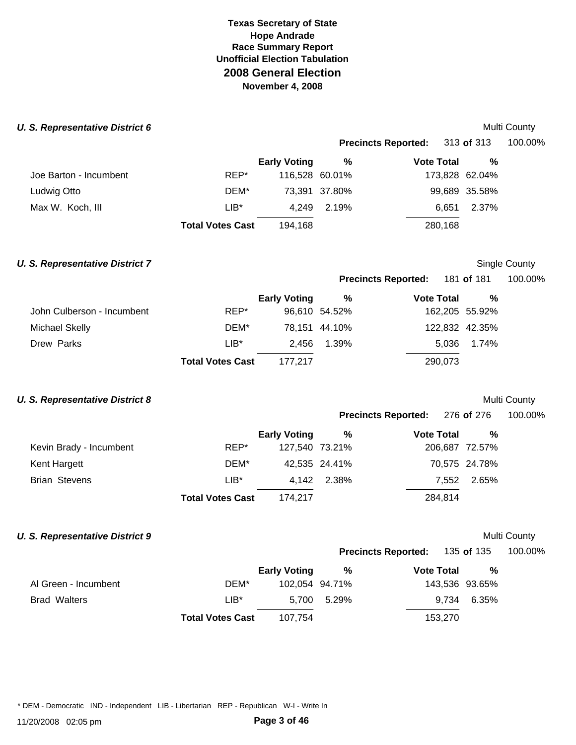#### **U. S. Representative District 6 Multi County 6 and 2009 Multi County 6 and 2009 Multi County 6 and 2009 Multi County 6 and 2009**

|                        |                         |                     | <b>Precincts Reported:</b> |                   | 313 of 313     | 100.00% |  |
|------------------------|-------------------------|---------------------|----------------------------|-------------------|----------------|---------|--|
|                        |                         | <b>Early Voting</b> | %                          | <b>Vote Total</b> | %              |         |  |
| Joe Barton - Incumbent | REP*                    |                     | 116,528 60.01%             |                   | 173,828 62.04% |         |  |
| Ludwig Otto            | DEM*                    |                     | 73,391 37.80%              |                   | 99,689 35.58%  |         |  |
| Max W. Koch, III       | $LIB*$                  | 4.249               | 2.19%                      | 6.651             | 2.37%          |         |  |
|                        | <b>Total Votes Cast</b> | 194.168             |                            | 280,168           |                |         |  |

### **U. S. Representative District 7** Single County

**Precincts Reported:** 181 **of** 181 100.00%

|                            |                         | <b>Early Voting</b> | %             | <b>Vote Total</b> | %     |  |
|----------------------------|-------------------------|---------------------|---------------|-------------------|-------|--|
| John Culberson - Incumbent | REP*                    |                     | 96,610 54.52% | 162,205 55.92%    |       |  |
| Michael Skelly             | DEM*                    |                     | 78,151 44.10% | 122,832 42.35%    |       |  |
| Drew Parks                 | $LIB^*$                 | 2.456               | 1.39%         | 5.036             | 1.74% |  |
|                            | <b>Total Votes Cast</b> | 177.217             |               | 290,073           |       |  |

## **U. S. Representative District 8 Multi County Multi County Multi County**

| <b>Precincts Reported:</b> | 276 of 276 | 100.00% |
|----------------------------|------------|---------|
|----------------------------|------------|---------|

|                         |                         | <b>Early Voting</b> | %             | <b>Vote Total</b> | %             |
|-------------------------|-------------------------|---------------------|---------------|-------------------|---------------|
| Kevin Brady - Incumbent | REP*                    | 127,540 73.21%      |               | 206,687 72.57%    |               |
| Kent Hargett            | DEM*                    |                     | 42,535 24.41% |                   | 70,575 24.78% |
| <b>Brian Stevens</b>    | $LIB^*$                 |                     | 4.142 2.38%   | 7.552             | 2.65%         |
|                         | <b>Total Votes Cast</b> | 174.217             |               | 284,814           |               |

### **U. S. Representative District 9 Multi County Multi County Multi County**

**Precincts Reported:** 135 **of** 135 100.00%

|                      |                         | <b>Early Voting</b> | %     | <b>Vote Total</b> | $\frac{0}{0}$ |
|----------------------|-------------------------|---------------------|-------|-------------------|---------------|
| Al Green - Incumbent | DEM*                    | 102,054 94.71%      |       | 143,536 93.65%    |               |
| <b>Brad Walters</b>  | LIB*                    | 5.700               | 5.29% |                   | 9.734 6.35%   |
|                      | <b>Total Votes Cast</b> | 107.754             |       | 153,270           |               |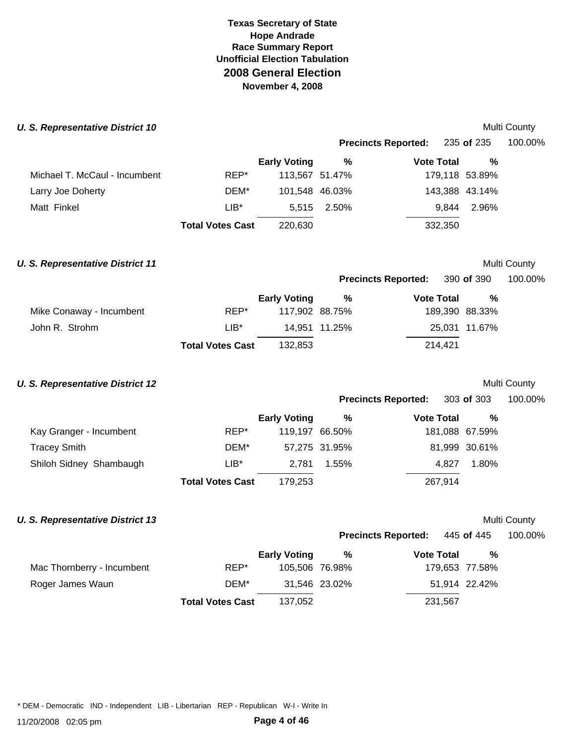#### **U. S. Representative District 10 Multi County County County County County County County County County County County**

|        |                     | <b>Precincts Reported:</b> |                                                    |       | 100.00%                                                                                        |  |
|--------|---------------------|----------------------------|----------------------------------------------------|-------|------------------------------------------------------------------------------------------------|--|
|        | <b>Early Voting</b> | %                          |                                                    | %     |                                                                                                |  |
| REP*   |                     |                            |                                                    |       |                                                                                                |  |
| DEM*   |                     |                            |                                                    |       |                                                                                                |  |
| $LIB*$ |                     |                            |                                                    | 2.96% |                                                                                                |  |
|        | 220,630             |                            |                                                    |       |                                                                                                |  |
|        |                     | <b>Total Votes Cast</b>    | 113,567 51.47%<br>101,548 46.03%<br>2.50%<br>5.515 |       | 235 <b>of</b> 235<br><b>Vote Total</b><br>179,118 53.89%<br>143,388 43.14%<br>9.844<br>332,350 |  |

# **U. S. Representative District 11 Multi County Multi County Multi County**

|                            | <b>IVIUILI COUIILY</b> |         |  |  |
|----------------------------|------------------------|---------|--|--|
| <b>Precincts Reported:</b> | 390 of 390             | 100.00% |  |  |

| <b>Preditions Reported:</b> 390 OF 390 | טטו |
|----------------------------------------|-----|
|                                        |     |

|                          |                         | <b>Early Voting</b> | %             | <b>Vote Total</b> | %             |
|--------------------------|-------------------------|---------------------|---------------|-------------------|---------------|
| Mike Conaway - Incumbent | REP*                    | 117,902 88.75%      |               | 189,390 88.33%    |               |
| John R. Strohm           | LIB*                    |                     | 14.951 11.25% |                   | 25.031 11.67% |
|                          | <b>Total Votes Cast</b> | 132.853             |               | 214.421           |               |

## **U. S. Representative District 12** Multi County

**Precincts Reported:** 303 **of** 303 100.00% **Early Voting % Vote Total %** 

|                         | <b>Total Votes Cast</b> | 179,253        |               | 267.914        |               |  |
|-------------------------|-------------------------|----------------|---------------|----------------|---------------|--|
| Shiloh Sidney Shambaugh | LIB*                    |                | 2.781 1.55%   | 4.827          | 1.80%         |  |
| Tracey Smith            | DEM*                    |                | 57,275 31.95% |                | 81,999 30.61% |  |
| Kay Granger - Incumbent | REP*                    | 119,197 66.50% |               | 181,088 67.59% |               |  |
|                         |                         |                |               |                |               |  |

### *U. S. Representative District 13*

| Multi Countv |
|--------------|

**Precincts Reported:** 445 **of** 445 100.00%

|                            |                         | <b>Early Voting</b> | %             | <b>Vote Total</b> | %              |
|----------------------------|-------------------------|---------------------|---------------|-------------------|----------------|
| Mac Thornberry - Incumbent | REP*                    | 105,506 76.98%      |               |                   | 179,653 77.58% |
| Roger James Waun           | DEM*                    |                     | 31,546 23.02% |                   | 51,914 22.42%  |
|                            | <b>Total Votes Cast</b> | 137,052             |               | 231,567           |                |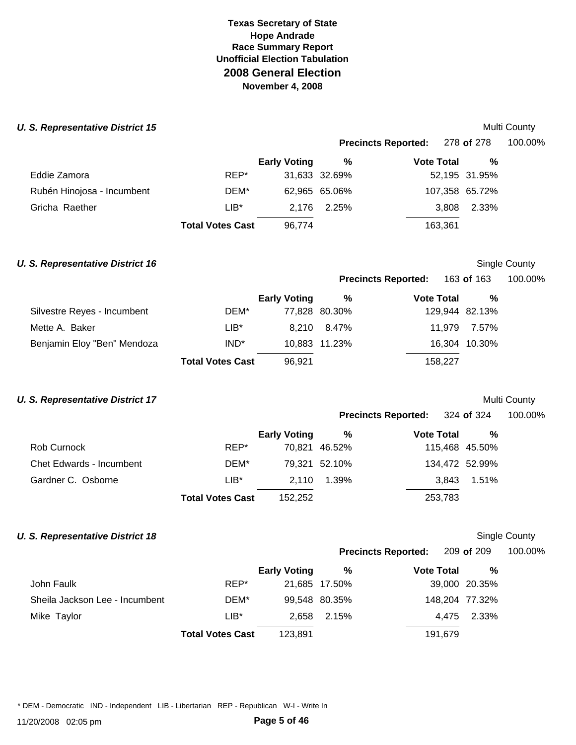#### **U. S. Representative District 15 Multi County 1999 Multi County 1999 Multi County 1999 Multi County 1999**

|                            |                         |                     |               | Precincts Reported: 278 of 278 |                | 100.00% |  |
|----------------------------|-------------------------|---------------------|---------------|--------------------------------|----------------|---------|--|
|                            |                         | <b>Early Voting</b> | %             | <b>Vote Total</b>              | %              |         |  |
| Eddie Zamora               | REP*                    |                     | 31,633 32.69% |                                | 52,195 31.95%  |         |  |
| Rubén Hinojosa - Incumbent | DEM*                    |                     | 62,965 65.06% |                                | 107,358 65.72% |         |  |
| Gricha Raether             | LIB*                    | 2.176               | 2.25%         | 3,808                          | 2.33%          |         |  |
|                            | <b>Total Votes Cast</b> | 96.774              |               | 163,361                        |                |         |  |

### **U. S. Representative District 16 Single County County Single County Single County**

**Precincts Reported: 163 of 163.** 

|  |  | 100.00% |  |
|--|--|---------|--|
|  |  |         |  |

|                             |                         | <b>Early Voting</b> | %             | <b>Vote Total</b> | %             |  |
|-----------------------------|-------------------------|---------------------|---------------|-------------------|---------------|--|
| Silvestre Reyes - Incumbent | DEM*                    |                     | 77,828 80.30% | 129,944 82.13%    |               |  |
| Mette A. Baker              | $LIB*$                  |                     | 8.210 8.47%   |                   | 11.979 7.57%  |  |
| Benjamin Eloy "Ben" Mendoza | IND <sup>*</sup>        |                     | 10,883 11.23% |                   | 16,304 10.30% |  |
|                             | <b>Total Votes Cast</b> | 96.921              |               | 158.227           |               |  |

# **U. S. Representative District 17 U. S. Representative District 17**

|                            |            | <b>IVIUILI COUIILY</b> |
|----------------------------|------------|------------------------|
| <b>Precincts Reported:</b> | 324 of 324 | 100.00%                |

|                          |                         | <b>Early Voting</b> | %             | <b>Vote Total</b> | %           |  |
|--------------------------|-------------------------|---------------------|---------------|-------------------|-------------|--|
| Rob Curnock              | REP*                    |                     | 70,821 46.52% | 115,468 45.50%    |             |  |
| Chet Edwards - Incumbent | DEM*                    |                     | 79,321 52.10% | 134,472 52.99%    |             |  |
| Gardner C. Osborne       | LIB*                    |                     | 2.110 1.39%   |                   | 3.843 1.51% |  |
|                          | <b>Total Votes Cast</b> | 152,252             |               | 253,783           |             |  |

## **U. S. Representative District 18 Single County County County County County County County County County**

**Precincts Reported:** 209 **of** 209 100.00%

|                                |                         | <b>Early Voting</b> | %             | <b>Vote Total</b> | %             |
|--------------------------------|-------------------------|---------------------|---------------|-------------------|---------------|
| John Faulk                     | REP*                    |                     | 21,685 17.50% |                   | 39,000 20.35% |
| Sheila Jackson Lee - Incumbent | DEM*                    |                     | 99,548 80.35% | 148,204 77.32%    |               |
| Mike Taylor                    | $LIB*$                  | 2.658               | 2.15%         |                   | 4.475 2.33%   |
|                                | <b>Total Votes Cast</b> | 123.891             |               | 191.679           |               |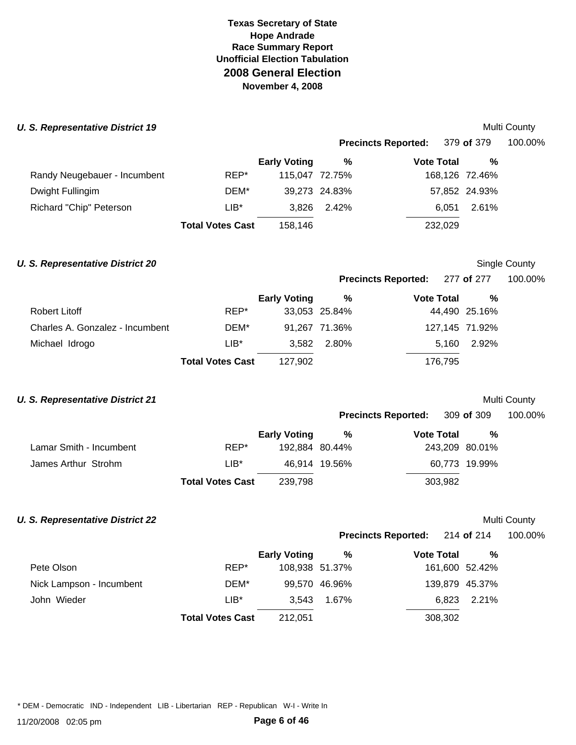#### **U. S. Representative District 19 Multi County County County County County County County County County County County**

|                              |                         |                     |               | <b>Precincts Reported:</b> | 379 of 379     | 100.00% |  |
|------------------------------|-------------------------|---------------------|---------------|----------------------------|----------------|---------|--|
|                              |                         | <b>Early Voting</b> | %             | <b>Vote Total</b>          | %              |         |  |
| Randy Neugebauer - Incumbent | REP*                    | 115,047 72.75%      |               |                            | 168,126 72.46% |         |  |
| Dwight Fullingim             | DEM*                    |                     | 39,273 24.83% |                            | 57,852 24.93%  |         |  |
| Richard "Chip" Peterson      | LIB*                    | 3.826               | 2.42%         | 6.051                      | 2.61%          |         |  |
|                              | <b>Total Votes Cast</b> | 158,146             |               | 232,029                    |                |         |  |

#### **U. S. Representative District 20 Single County County Single County Single County**

**Precincts Reported:** 277 **of** 277 100.00%

|                                 |                         | <b>Early Voting</b> | %             | <b>Vote Total</b> | %             |  |
|---------------------------------|-------------------------|---------------------|---------------|-------------------|---------------|--|
| Robert Litoff                   | REP*                    |                     | 33,053 25.84% |                   | 44,490 25.16% |  |
| Charles A. Gonzalez - Incumbent | DEM*                    |                     | 91,267 71.36% | 127,145 71.92%    |               |  |
| Michael Idrogo                  | $LIB*$                  |                     | 3.582 2.80%   | 5.160             | 2.92%         |  |
|                                 | <b>Total Votes Cast</b> | 127.902             |               | 176.795           |               |  |

# **U. S. Representative District 21 Multi County Multi County**

|  |  |  | <b>IVIUILI COUTILY</b> |  |  |  |
|--|--|--|------------------------|--|--|--|
|  |  |  |                        |  |  |  |

| <b>Precincts Reported:</b> | 309 of 309 | 100.00% |
|----------------------------|------------|---------|
|----------------------------|------------|---------|

|                         |                         | Early Voting   | %             | <b>Vote Total</b> | %             |
|-------------------------|-------------------------|----------------|---------------|-------------------|---------------|
| Lamar Smith - Incumbent | REP*                    | 192.884 80.44% |               | 243,209 80.01%    |               |
| James Arthur Strohm     | $LIB*$                  |                | 46.914 19.56% |                   | 60.773 19.99% |
|                         | <b>Total Votes Cast</b> | 239,798        |               | 303.982           |               |

## **U. S. Representative District 22**

| Multi Countv |  |
|--------------|--|

**Precincts Reported:** 214 **of** 214 100.00%

|                          |                         | <b>Early Voting</b> | %             | <b>Vote Total</b> | %           |
|--------------------------|-------------------------|---------------------|---------------|-------------------|-------------|
| Pete Olson               | REP*                    | 108,938 51.37%      |               | 161,600 52.42%    |             |
| Nick Lampson - Incumbent | DEM*                    |                     | 99,570 46.96% | 139,879 45.37%    |             |
| John Wieder              | $LIB*$                  | 3.543               | 1.67%         |                   | 6.823 2.21% |
|                          | <b>Total Votes Cast</b> | 212,051             |               | 308,302           |             |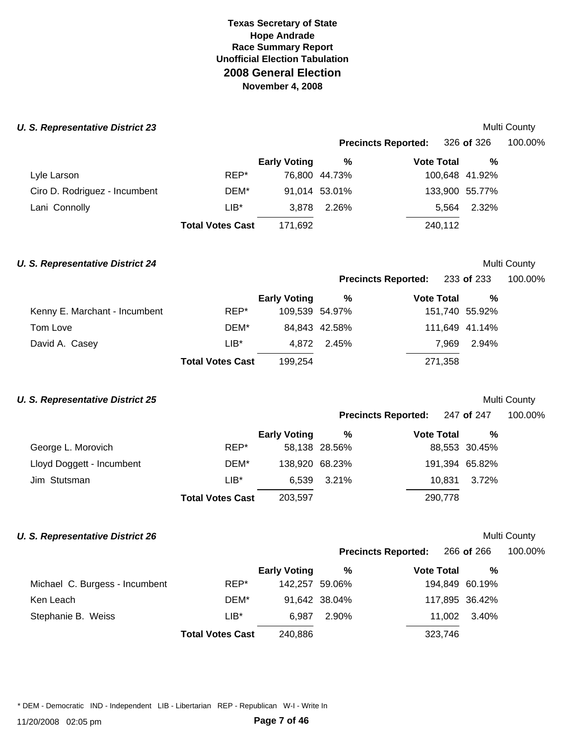#### **U. S. Representative District 23** Multi County **Number 20 Section 20 August 20 Section 20 August 20 August 20 August 20 August 20 August 20 August 20 August 20 August 20 August 20 August 20 August 20 August 20 August 20 A**

|                               |                         |                     |               | <b>Precincts Reported:</b> | 326 of 326     | 100.00% |  |
|-------------------------------|-------------------------|---------------------|---------------|----------------------------|----------------|---------|--|
|                               |                         | <b>Early Voting</b> | %             | <b>Vote Total</b>          | %              |         |  |
| Lyle Larson                   | REP*                    |                     | 76,800 44.73% |                            | 100,648 41.92% |         |  |
| Ciro D. Rodriguez - Incumbent | DEM*                    |                     | 91,014 53.01% |                            | 133,900 55.77% |         |  |
| Lani Connolly                 | LIB*                    | 3.878               | 2.26%         | 5.564                      | 2.32%          |         |  |
|                               | <b>Total Votes Cast</b> | 171,692             |               | 240,112                    |                |         |  |

#### **U. S. Representative District 24 Multi County Multi County Multi County**

**Precincts Reported:** 233 **of** 233 100.00%

|                               |                         | <b>Early Voting</b> | %             | <b>Vote Total</b> | %     |  |
|-------------------------------|-------------------------|---------------------|---------------|-------------------|-------|--|
| Kenny E. Marchant - Incumbent | REP*                    | 109,539 54.97%      |               | 151,740 55.92%    |       |  |
| Tom Love                      | DEM*                    |                     | 84,843 42.58% | 111,649 41.14%    |       |  |
| David A. Casey                | $LIB*$                  |                     | 4.872 2.45%   | 7.969             | 2.94% |  |
|                               | <b>Total Votes Cast</b> | 199.254             |               | 271,358           |       |  |

## **U. S. Representative District 25** and the set of the set of the set of the set of the Multi County

| <b>Precincts Reported:</b> | 247 of 247 | 100.00% |
|----------------------------|------------|---------|
|                            |            |         |

|                           |                         | <b>Early Voting</b> | %             | <b>Vote Total</b> | $\%$          |  |
|---------------------------|-------------------------|---------------------|---------------|-------------------|---------------|--|
| George L. Morovich        | REP*                    |                     | 58,138 28.56% |                   | 88,553 30.45% |  |
| Lloyd Doggett - Incumbent | DEM*                    | 138,920 68.23%      |               | 191,394 65.82%    |               |  |
| Jim Stutsman              | LIB*                    |                     | 6.539 3.21%   | 10.831            | 3.72%         |  |
|                           | <b>Total Votes Cast</b> | 203,597             |               | 290,778           |               |  |

### **U. S. Representative District 26 Multi County Multi County Multi County**

**Precincts Reported:** 266 **of** 266 100.00%

|                                |                         | <b>Early Voting</b> | %             | <b>Vote Total</b> | %     |
|--------------------------------|-------------------------|---------------------|---------------|-------------------|-------|
| Michael C. Burgess - Incumbent | REP*                    | 142,257 59.06%      |               | 194,849 60.19%    |       |
| Ken Leach                      | DEM*                    |                     | 91,642 38.04% | 117,895 36.42%    |       |
| Stephanie B. Weiss             | $LIB*$                  | 6.987               | 2.90%         | 11.002            | 3.40% |
|                                | <b>Total Votes Cast</b> | 240,886             |               | 323,746           |       |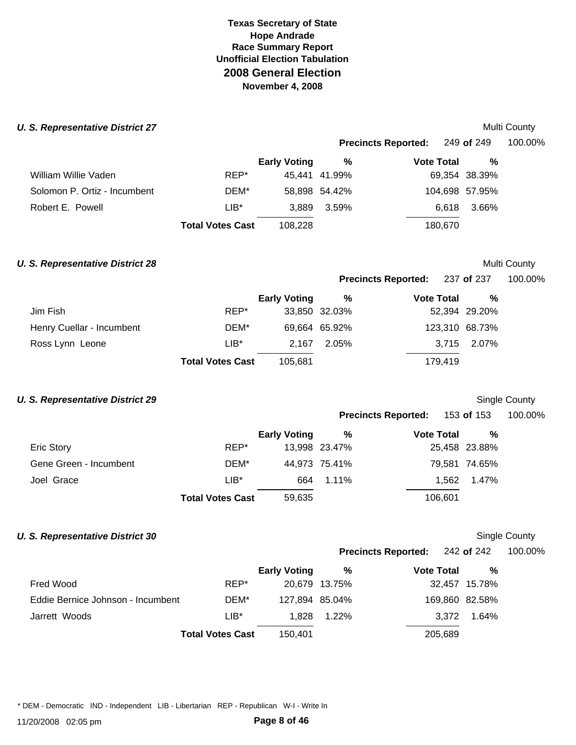#### **U. S. Representative District 27** and the set of the set of the set of the set of the set of the Multi County

|                              |                         |                     | <b>Precincts Reported:</b> 249 of 249 |                   | 100.00%        |  |
|------------------------------|-------------------------|---------------------|---------------------------------------|-------------------|----------------|--|
|                              |                         | <b>Early Voting</b> | %                                     | <b>Vote Total</b> | %              |  |
| William Willie Vaden         | REP*                    |                     | 45.441 41.99%                         |                   | 69,354 38.39%  |  |
| Solomon P. Ortiz - Incumbent | DEM*                    |                     | 58,898 54.42%                         |                   | 104,698 57.95% |  |
| Robert E. Powell             | $LIB*$                  | 3.889               | 3.59%                                 |                   | 3.66%<br>6.618 |  |
|                              | <b>Total Votes Cast</b> | 108.228             |                                       | 180,670           |                |  |

#### **U. S. Representative District 28** and the set of the set of the set of the set of the set of the Multi County

**Precincts Reported: 237 of 237** 

| 100.00% |  |
|---------|--|
|---------|--|

|                           |                         | <b>Early Voting</b> | %             | <b>Vote Total</b> | %             |  |
|---------------------------|-------------------------|---------------------|---------------|-------------------|---------------|--|
| Jim Fish                  | REP*                    |                     | 33,850 32.03% |                   | 52,394 29.20% |  |
| Henry Cuellar - Incumbent | DEM*                    |                     | 69,664 65.92% | 123,310 68.73%    |               |  |
| Ross Lynn Leone           | $LIB^*$                 | 2.167               | 2.05%         |                   | 3,715 2.07%   |  |
|                           | <b>Total Votes Cast</b> | 105,681             |               | 179,419           |               |  |

## **U. S. Representative District 29 Single County** Single County

| <b>Precincts Reported:</b> | 153 of 153 | 100.00% |
|----------------------------|------------|---------|

|                        |                         | <b>Early Voting</b> | %             | <b>Vote Total</b> | %             |
|------------------------|-------------------------|---------------------|---------------|-------------------|---------------|
| Eric Story             | REP*                    |                     | 13,998 23.47% |                   | 25,458 23.88% |
| Gene Green - Incumbent | DEM*                    |                     | 44,973 75.41% |                   | 79,581 74.65% |
| Joel Grace             | $LIB*$                  | 664                 | $1.11\%$      |                   | 1.562 1.47%   |
|                        | <b>Total Votes Cast</b> | 59,635              |               | 106,601           |               |

## **U. S. Representative District 30** Single County

**Precincts Reported:** 242 **of** 242 100.00%

|                                   |                         | <b>Early Voting</b> | %             | <b>Vote Total</b> | %             |
|-----------------------------------|-------------------------|---------------------|---------------|-------------------|---------------|
| Fred Wood                         | REP*                    |                     | 20,679 13.75% |                   | 32,457 15.78% |
| Eddie Bernice Johnson - Incumbent | DEM*                    | 127,894 85.04%      |               | 169,860 82.58%    |               |
| Jarrett Woods                     | $LIB*$                  | 1.828               | $1.22\%$      | 3.372             | 1.64%         |
|                                   | <b>Total Votes Cast</b> | 150.401             |               | 205,689           |               |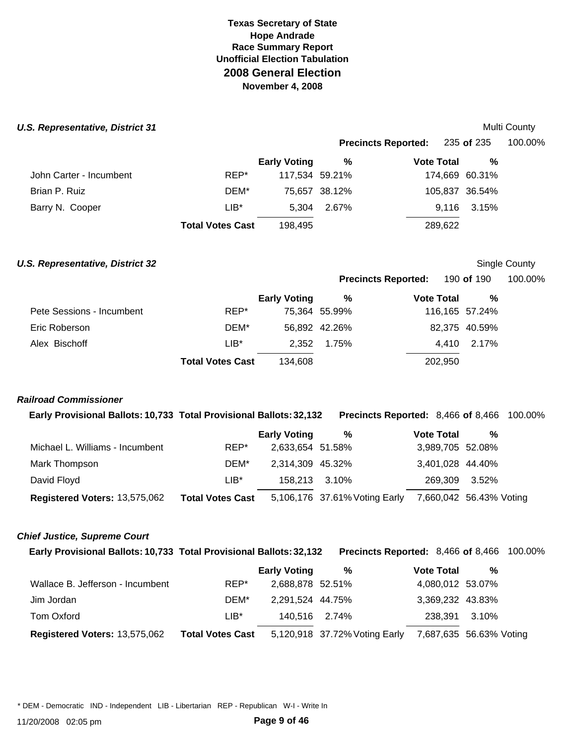#### *U.S. Representative, District 31*

|                         |                         |                     | <b>Precincts Reported:</b> |                   | 235 <b>of</b> 235 | 100.00% |  |
|-------------------------|-------------------------|---------------------|----------------------------|-------------------|-------------------|---------|--|
|                         |                         | <b>Early Voting</b> | %                          | <b>Vote Total</b> | %                 |         |  |
| John Carter - Incumbent | REP*                    | 117,534 59.21%      |                            |                   | 174,669 60.31%    |         |  |
| Brian P. Ruiz           | DEM*                    |                     | 75,657 38.12%              |                   | 105,837 36.54%    |         |  |
| Barry N. Cooper         | $LIB*$                  | 5.304               | 2.67%                      |                   | 9,116 3.15%       |         |  |
|                         | <b>Total Votes Cast</b> | 198,495             |                            | 289,622           |                   |         |  |

#### **U.S. Representative, District 32** and the state of the state of the state of the Single County

Multi County

**Precincts Reported: 190 of 190.** 

|  | 100.00% |
|--|---------|
|--|---------|

|                           |                         | <b>Early Voting</b> | %             | <b>Vote Total</b> | %             |
|---------------------------|-------------------------|---------------------|---------------|-------------------|---------------|
| Pete Sessions - Incumbent | REP*                    |                     | 75,364 55.99% | 116,165 57.24%    |               |
| Eric Roberson             | DEM*                    |                     | 56.892 42.26% |                   | 82.375 40.59% |
| Alex Bischoff             | $LIB^*$                 | 2.352               | 1.75%         |                   | 4.410 2.17%   |
|                           | <b>Total Votes Cast</b> | 134.608             |               | 202.950           |               |

### *Railroad Commissioner*

**Early Provisional Ballots: 10,733 Total Provisional Ballots: 32,132 Precincts Reported:** 8,466 **of** 8,466 100.00%

|                                 |                         | <b>Early Voting</b> | %                             | <b>Vote Total</b> | %                       |
|---------------------------------|-------------------------|---------------------|-------------------------------|-------------------|-------------------------|
| Michael L. Williams - Incumbent | REP*                    | 2,633,654 51.58%    |                               | 3,989,705 52.08%  |                         |
| Mark Thompson                   | DEM*                    | 2,314,309 45.32%    |                               | 3,401,028 44.40%  |                         |
| David Floyd                     | LIB*                    |                     | 158.213 3.10%                 | 269,309 3.52%     |                         |
| Registered Voters: 13,575,062   | <b>Total Votes Cast</b> |                     | 5,106,176 37.61% Voting Early |                   | 7,660,042 56.43% Voting |

### *Chief Justice, Supreme Court*

**Early Provisional Ballots: 10,733 Total Provisional Ballots: 32,132 Precincts Reported:** 8,466 **of** 8,466 100.00%

|                                  |                         | <b>Early Voting</b> | %                             | <b>Vote Total</b> | %                       |
|----------------------------------|-------------------------|---------------------|-------------------------------|-------------------|-------------------------|
| Wallace B. Jefferson - Incumbent | REP*                    | 2,688,878 52.51%    |                               | 4,080,012 53.07%  |                         |
| Jim Jordan                       | DEM*                    | 2,291,524 44.75%    |                               | 3,369,232 43.83%  |                         |
| Tom Oxford                       | LIB*                    | 140.516 2.74%       |                               | 238.391 3.10%     |                         |
| Registered Voters: 13,575,062    | <b>Total Votes Cast</b> |                     | 5,120,918 37.72% Voting Early |                   | 7,687,635 56.63% Voting |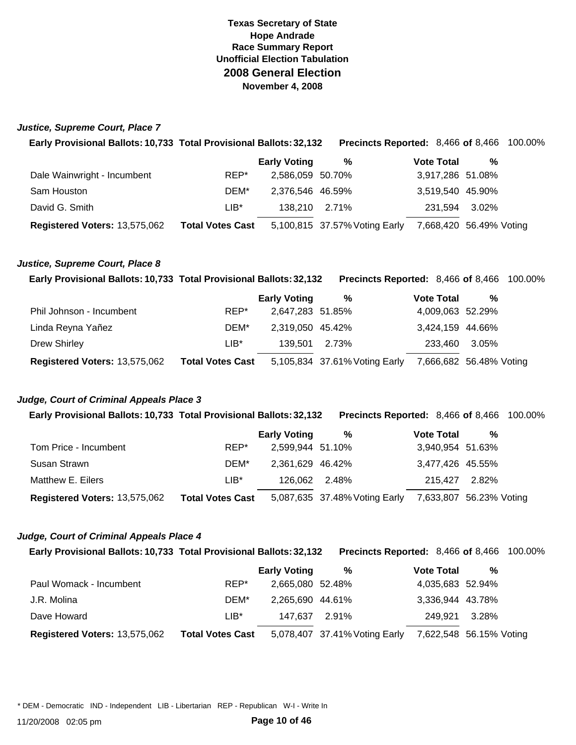#### *Justice, Supreme Court, Place 7*

| Early Provisional Ballots: 10,733 Total Provisional Ballots: 32,132 |                         |                     | <b>Precincts Reported: 8,466 of 8,466 100.00%</b> |                   |         |                         |  |
|---------------------------------------------------------------------|-------------------------|---------------------|---------------------------------------------------|-------------------|---------|-------------------------|--|
|                                                                     |                         | <b>Early Voting</b> | %                                                 | <b>Vote Total</b> |         | %                       |  |
| Dale Wainwright - Incumbent                                         | REP*                    | 2,586,059 50.70%    |                                                   |                   |         | 3,917,286 51.08%        |  |
| Sam Houston                                                         | DEM*                    | 2,376,546 46.59%    |                                                   |                   |         | 3,519,540 45.90%        |  |
| David G. Smith                                                      | $LIB*$                  | 138.210             | 2.71%                                             |                   | 231,594 | 3.02%                   |  |
| Registered Voters: 13,575,062                                       | <b>Total Votes Cast</b> |                     | 5,100,815 37.57% Voting Early                     |                   |         | 7,668,420 56.49% Voting |  |

#### *Justice, Supreme Court, Place 8*

|  | Early Provisional Ballots: 10,733 Total Provisional Ballots: 32,132 Precincts Reported: 8,466 of 8,466 100.00% |  |  |  |
|--|----------------------------------------------------------------------------------------------------------------|--|--|--|
|--|----------------------------------------------------------------------------------------------------------------|--|--|--|

|                               |                         | <b>Early Voting</b> | %                             | <b>Vote Total</b> | %                       |
|-------------------------------|-------------------------|---------------------|-------------------------------|-------------------|-------------------------|
| Phil Johnson - Incumbent      | REP*                    | 2,647,283 51.85%    |                               | 4,009,063 52.29%  |                         |
| Linda Reyna Yañez             | DEM*                    | 2,319,050 45.42%    |                               | 3,424,159 44.66%  |                         |
| <b>Drew Shirley</b>           | $LIB*$                  | 139.501 2.73%       |                               | 233,460 3.05%     |                         |
| Registered Voters: 13,575,062 | <b>Total Votes Cast</b> |                     | 5,105,834 37.61% Voting Early |                   | 7,666,682 56.48% Voting |

#### *Judge, Court of Criminal Appeals Place 3*

**Early Provisional Ballots: 10,733 Total Provisional Ballots: 32,132 Precincts Reported:** 8,466 **of** 8,466 100.00%

|                               |                         | <b>Early Voting</b> | %                                                     | <b>Vote Total</b> | % |
|-------------------------------|-------------------------|---------------------|-------------------------------------------------------|-------------------|---|
| Tom Price - Incumbent         | REP*                    | 2,599,944 51.10%    |                                                       | 3,940,954 51.63%  |   |
| Susan Strawn                  | DEM*                    | 2,361,629 46.42%    |                                                       | 3,477,426 45.55%  |   |
| Matthew E. Eilers             | $LIB*$                  | 126,062 2.48%       |                                                       | 215.427 2.82%     |   |
| Registered Voters: 13,575,062 | <b>Total Votes Cast</b> |                     | 5,087,635 37.48% Voting Early 7,633,807 56.23% Voting |                   |   |

#### *Judge, Court of Criminal Appeals Place 4*

**Early Provisional Ballots: 10,733 Total Provisional Ballots: 32,132 Precincts Reported:** 8,466 **of** 8,466 100.00%

|                               |                         | <b>Early Voting</b> | %                                                     | <b>Vote Total</b> | % |
|-------------------------------|-------------------------|---------------------|-------------------------------------------------------|-------------------|---|
| Paul Womack - Incumbent       | REP*                    | 2,665,080 52.48%    |                                                       | 4,035,683 52.94%  |   |
| J.R. Molina                   | DEM*                    | 2,265,690 44.61%    |                                                       | 3,336,944 43.78%  |   |
| Dave Howard                   | $LIB*$                  | 147.637 2.91%       |                                                       | 249,921 3.28%     |   |
| Registered Voters: 13,575,062 | <b>Total Votes Cast</b> |                     | 5,078,407 37.41% Voting Early 7,622,548 56.15% Voting |                   |   |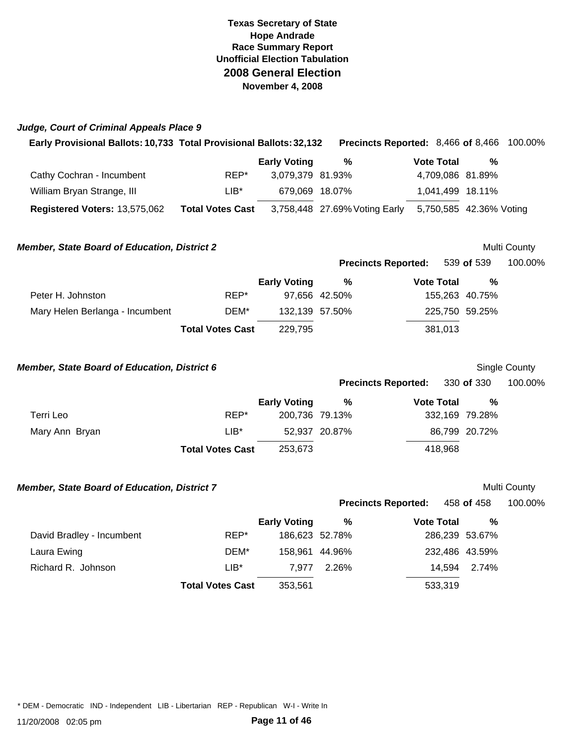| Judge, Court of Criminal Appeals Place 9                            |                         |                     |                                    |                   |                         |              |
|---------------------------------------------------------------------|-------------------------|---------------------|------------------------------------|-------------------|-------------------------|--------------|
| Early Provisional Ballots: 10,733 Total Provisional Ballots: 32,132 |                         |                     | Precincts Reported: 8,466 of 8,466 |                   |                         | 100.00%      |
|                                                                     |                         | <b>Early Voting</b> | $\%$                               | <b>Vote Total</b> | %                       |              |
| Cathy Cochran - Incumbent                                           | REP*                    | 3,079,379 81.93%    |                                    |                   | 4,709,086 81.89%        |              |
| William Bryan Strange, III                                          | $LIB^*$                 | 679,069 18.07%      |                                    |                   | 1.041.499 18.11%        |              |
| <b>Registered Voters: 13,575,062</b>                                | <b>Total Votes Cast</b> |                     | 3,758,448 27.69% Voting Early      |                   | 5,750,585 42.36% Voting |              |
| <b>Member, State Board of Education, District 2</b>                 |                         |                     |                                    |                   |                         | Multi County |
|                                                                     |                         |                     | <b>Precincts Reported:</b>         |                   | 539 of 539              | 100.00%      |
|                                                                     |                         | <b>Early Voting</b> | %                                  | <b>Vote Total</b> | %                       |              |

|                                 | <b>Total Votes Cast</b> | 229.795        |               | 381.013        |  |
|---------------------------------|-------------------------|----------------|---------------|----------------|--|
| Mary Helen Berlanga - Incumbent | DEM*                    | 132,139 57.50% |               | 225,750 59.25% |  |
| Peter H. Johnston               | REP*                    |                | 97.656 42.50% | 155,263 40.75% |  |

| <b>Member, State Board of Education, District 6</b> |                         |                     |               |                            |         |                | Single County |
|-----------------------------------------------------|-------------------------|---------------------|---------------|----------------------------|---------|----------------|---------------|
|                                                     |                         |                     |               | <b>Precincts Reported:</b> |         | 330 of 330     | 100.00%       |
|                                                     |                         | <b>Early Voting</b> | %             | <b>Vote Total</b>          |         | %              |               |
| Terri Leo                                           | REP*                    | 200.736 79.13%      |               |                            |         | 332,169 79.28% |               |
| Mary Ann Bryan                                      | $LIB*$                  |                     | 52.937 20.87% |                            |         | 86,799 20.72%  |               |
|                                                     | <b>Total Votes Cast</b> | 253,673             |               |                            | 418,968 |                |               |

| <b>Member, State Board of Education, District 7</b> |         |                     |                |                            |                | Multi County |
|-----------------------------------------------------|---------|---------------------|----------------|----------------------------|----------------|--------------|
|                                                     |         |                     |                | <b>Precincts Reported:</b> | 458 of 458     | 100.00%      |
|                                                     |         | <b>Early Voting</b> | %              | Vote Total                 | %              |              |
| David Bradley - Incumbent                           | REP*    |                     | 186,623 52.78% |                            | 286,239 53.67% |              |
| Laura Ewing                                         | DEM*    | 158.961             | 44.96%         |                            | 232,486 43.59% |              |
| Richard R. Johnson                                  | $LIB^*$ | 7.977               | 2.26%          | 14.594                     | 2.74%          |              |
| <b>Total Votes Cast</b>                             |         | 353,561             |                | 533,319                    |                |              |

\* DEM - Democratic IND - Independent LIB - Libertarian REP - Republican W-I - Write In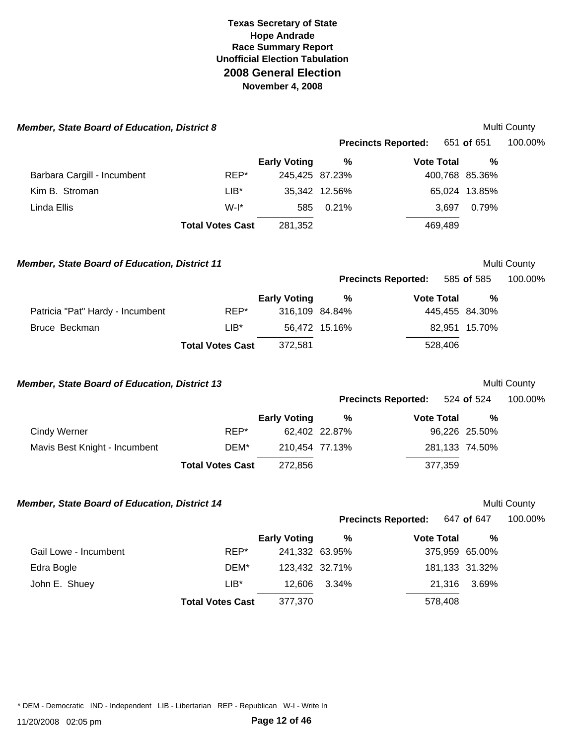| <b>Member, State Board of Education, District 8</b>  |                         |                     |                |                            |         |                | Multi County |
|------------------------------------------------------|-------------------------|---------------------|----------------|----------------------------|---------|----------------|--------------|
|                                                      |                         |                     |                | <b>Precincts Reported:</b> |         | 651 of 651     | 100.00%      |
|                                                      |                         | <b>Early Voting</b> | %              | <b>Vote Total</b>          |         | %              |              |
| Barbara Cargill - Incumbent                          | REP*                    | 245,425 87.23%      |                |                            |         | 400,768 85.36% |              |
| Kim B. Stroman                                       | $LIB^*$                 |                     | 35,342 12.56%  |                            |         | 65,024 13.85%  |              |
| Linda Ellis                                          | $W-I^*$                 | 585                 | 0.21%          |                            | 3,697   | 0.79%          |              |
|                                                      | <b>Total Votes Cast</b> | 281,352             |                |                            | 469,489 |                |              |
| <b>Member, State Board of Education, District 11</b> |                         |                     |                |                            |         |                | Multi County |
|                                                      |                         |                     |                | <b>Precincts Reported:</b> |         | 585 of 585     | 100.00%      |
|                                                      |                         | <b>Early Voting</b> | $\%$           | <b>Vote Total</b>          |         | %              |              |
| Patricia "Pat" Hardy - Incumbent                     | REP*                    |                     | 316,109 84.84% |                            |         | 445,455 84.30% |              |
| Bruce Beckman                                        | $LIB*$                  |                     | 56,472 15.16%  |                            |         | 82,951 15.70%  |              |
|                                                      | <b>Total Votes Cast</b> | 372,581             |                |                            | 528,406 |                |              |
| Member, State Board of Education, District 13        |                         |                     |                |                            |         |                | Multi County |
|                                                      |                         |                     |                | <b>Precincts Reported:</b> |         | 524 of 524     | 100.00%      |
|                                                      |                         | <b>Early Voting</b> | $\%$           | <b>Vote Total</b>          |         | %              |              |
| <b>Cindy Werner</b>                                  | REP*                    |                     | 62,402 22.87%  |                            |         | 96,226 25.50%  |              |
| Mavis Best Knight - Incumbent                        | DEM*                    | 210,454 77.13%      |                |                            |         | 281,133 74.50% |              |
|                                                      | <b>Total Votes Cast</b> | 272,856             |                |                            | 377,359 |                |              |
| Member, State Board of Education, District 14        |                         |                     |                |                            |         |                | Multi County |
|                                                      |                         |                     |                | <b>Precincts Reported:</b> |         | 647 of 647     | 100.00%      |
|                                                      |                         | <b>Early Voting</b> | $\%$           | <b>Vote Total</b>          |         | %              |              |
| Gail Lowe - Incumbent                                | REP*                    | 241,332 63.95%      |                |                            |         | 375,959 65.00% |              |
| Edra Bogle                                           | DEM*                    |                     | 123,432 32.71% |                            |         | 181,133 31.32% |              |
| John E. Shuey                                        | $LIB*$                  | 12,606              | 3.34%          |                            | 21,316  | 3.69%          |              |
|                                                      | <b>Total Votes Cast</b> | 377,370             |                |                            | 578,408 |                |              |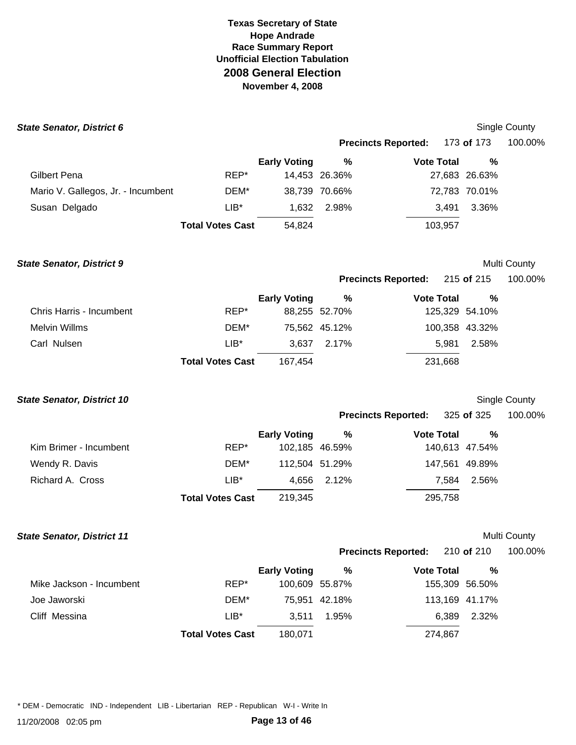| <b>State Senator, District 6</b>   |                         |                     |               |                            |                   | <b>Single County</b> |
|------------------------------------|-------------------------|---------------------|---------------|----------------------------|-------------------|----------------------|
|                                    |                         |                     |               | <b>Precincts Reported:</b> | 173 <b>of</b> 173 | 100.00%              |
|                                    |                         | <b>Early Voting</b> | %             | <b>Vote Total</b>          | %                 |                      |
| Gilbert Pena                       | REP*                    |                     | 14,453 26.36% |                            | 27,683 26.63%     |                      |
| Mario V. Gallegos, Jr. - Incumbent | DEM*                    |                     | 38,739 70.66% |                            | 72,783 70.01%     |                      |
| Susan Delgado                      | $LIB*$                  | 1.632               | 2.98%         | 3.491                      | 3.36%             |                      |
|                                    | <b>Total Votes Cast</b> | 54,824              |               | 103,957                    |                   |                      |

**State Senator, District 9 Multi County State Senator, District 9 Multi County** 

**Precincts Reported: 215 of 215** 

| 100.00% |  |
|---------|--|
|         |  |

|                          |                         | <b>Early Voting</b> | %             | <b>Vote Total</b> | $\frac{0}{0}$ |
|--------------------------|-------------------------|---------------------|---------------|-------------------|---------------|
| Chris Harris - Incumbent | REP*                    |                     | 88,255 52.70% | 125,329 54.10%    |               |
| Melvin Willms            | DEM*                    |                     | 75,562 45.12% | 100,358 43.32%    |               |
| Carl Nulsen              | $LIB^*$                 |                     | 3.637 2.17%   | 5.981             | 2.58%         |
|                          | <b>Total Votes Cast</b> | 167.454             |               | 231,668           |               |

**State Senator, District 10 Single County State Senator, District 10 Single County** 

**Precincts Reported:** 325 **of** 325 100.00%

|                        |                         | <b>Early Voting</b> | %           | <b>Vote Total</b> | %     |
|------------------------|-------------------------|---------------------|-------------|-------------------|-------|
| Kim Brimer - Incumbent | REP*                    | 102,185 46.59%      |             | 140,613 47.54%    |       |
| Wendy R. Davis         | DEM*                    | 112,504 51.29%      |             | 147,561 49.89%    |       |
| Richard A. Cross       | $LIB^*$                 |                     | 4.656 2.12% | 7.584             | 2.56% |
|                        | <b>Total Votes Cast</b> | 219,345             |             | 295,758           |       |

# **State Senator, District 11 Multi County State Senator, District 11**

**Precincts Reported:** 210 **of** 210 100.00%

|                          |                         | <b>Early Voting</b> | %              | <b>Vote Total</b> | %     |
|--------------------------|-------------------------|---------------------|----------------|-------------------|-------|
| Mike Jackson - Incumbent | REP*                    |                     | 100,609 55.87% | 155,309 56.50%    |       |
| Joe Jaworski             | DEM*                    |                     | 75,951 42.18%  | 113,169 41.17%    |       |
| Cliff Messina            | $LIB*$                  | 3.511               | 1.95%          | 6.389             | 2.32% |
|                          | <b>Total Votes Cast</b> | 180,071             |                | 274,867           |       |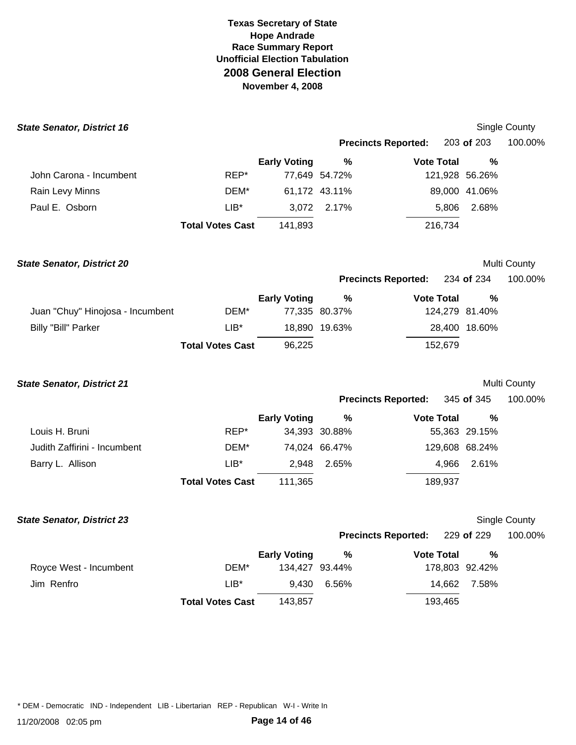| <b>State Senator, District 16</b> |                         |                     |               |                            |                | Single County |
|-----------------------------------|-------------------------|---------------------|---------------|----------------------------|----------------|---------------|
|                                   |                         |                     |               | <b>Precincts Reported:</b> | 203 of 203     | 100.00%       |
|                                   |                         | <b>Early Voting</b> | $\%$          | <b>Vote Total</b>          | %              |               |
| John Carona - Incumbent           | REP*                    |                     | 77,649 54.72% |                            | 121,928 56.26% |               |
| Rain Levy Minns                   | DEM*                    |                     | 61,172 43.11% |                            | 89,000 41.06%  |               |
| Paul E. Osborn                    | $LIB*$                  | 3,072               | 2.17%         | 5,806                      | 2.68%          |               |
|                                   | <b>Total Votes Cast</b> | 141,893             |               | 216,734                    |                |               |
| <b>State Senator, District 20</b> |                         |                     |               |                            |                | Multi County  |
|                                   |                         |                     |               | <b>Precincts Reported:</b> | 234 of 234     | 100.00%       |
|                                   |                         | <b>Early Voting</b> | $\%$          | <b>Vote Total</b>          | %              |               |
| Juan "Chuy" Hinojosa - Incumbent  | DEM*                    |                     | 77,335 80.37% |                            | 124,279 81.40% |               |
| <b>Billy "Bill" Parker</b>        | $LIB*$                  |                     | 18,890 19.63% |                            | 28,400 18.60%  |               |
|                                   | <b>Total Votes Cast</b> | 96,225              |               | 152,679                    |                |               |
| <b>State Senator, District 21</b> |                         |                     |               |                            |                | Multi County  |
|                                   |                         |                     |               | <b>Precincts Reported:</b> | 345 of 345     | 100.00%       |
|                                   |                         | <b>Early Voting</b> | $\%$          | <b>Vote Total</b>          | %              |               |
| Louis H. Bruni                    | REP*                    |                     | 34,393 30.88% |                            | 55,363 29.15%  |               |
| Judith Zaffirini - Incumbent      | DEM*                    |                     | 74,024 66.47% |                            | 129,608 68.24% |               |
| Barry L. Allison                  | $LIB*$                  | 2,948               | 2.65%         | 4,966                      | 2.61%          |               |
|                                   | <b>Total Votes Cast</b> | 111,365             |               | 189,937                    |                |               |
| <b>State Senator, District 23</b> |                         |                     |               |                            |                | Single County |
|                                   |                         |                     |               | <b>Precincts Reported:</b> | 229 of 229     | 100.00%       |
|                                   |                         | <b>Early Voting</b> | $\%$          | <b>Vote Total</b>          | $\%$           |               |
| Royce West - Incumbent            | DEM*                    | 134,427 93.44%      |               |                            | 178,803 92.42% |               |
| Jim Renfro                        | $LIB^*$                 | 9,430               | 6.56%         | 14,662                     | 7.58%          |               |
|                                   | <b>Total Votes Cast</b> | 143,857             |               | 193,465                    |                |               |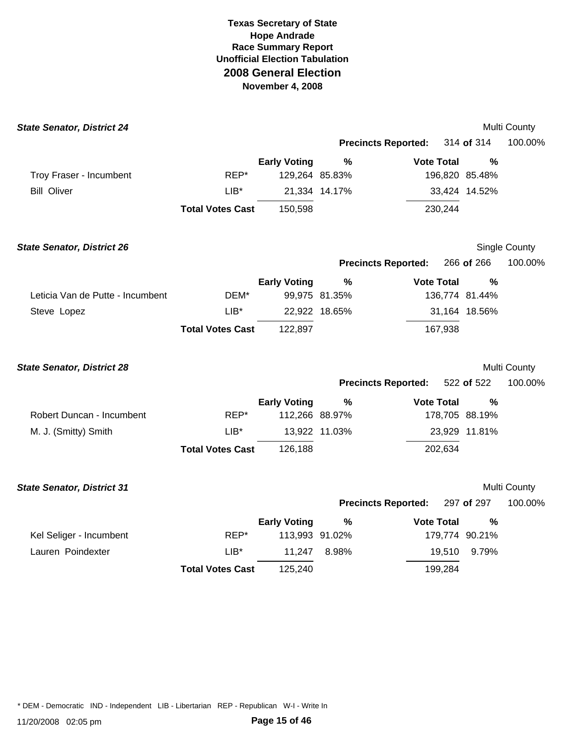| <b>State Senator, District 24</b> |                         |                     |               |                            |         |                | Multi County  |
|-----------------------------------|-------------------------|---------------------|---------------|----------------------------|---------|----------------|---------------|
|                                   |                         |                     |               | <b>Precincts Reported:</b> |         | 314 of 314     | 100.00%       |
|                                   |                         | <b>Early Voting</b> | %             | <b>Vote Total</b>          |         | %              |               |
| Troy Fraser - Incumbent           | REP*                    | 129,264 85.83%      |               |                            |         | 196,820 85.48% |               |
| <b>Bill Oliver</b>                | $LIB*$                  |                     | 21,334 14.17% |                            |         | 33,424 14.52%  |               |
|                                   | <b>Total Votes Cast</b> | 150,598             |               |                            | 230,244 |                |               |
| <b>State Senator, District 26</b> |                         |                     |               |                            |         |                | Single County |
|                                   |                         |                     |               | <b>Precincts Reported:</b> |         | 266 of 266     | 100.00%       |
|                                   |                         | <b>Early Voting</b> | $\%$          | <b>Vote Total</b>          |         | $\%$           |               |
| Leticia Van de Putte - Incumbent  | DEM*                    |                     | 99,975 81.35% |                            |         | 136,774 81.44% |               |
| Steve Lopez                       | $LIB^*$                 |                     | 22,922 18.65% |                            |         | 31,164 18.56%  |               |
|                                   | <b>Total Votes Cast</b> | 122,897             |               |                            | 167,938 |                |               |
| <b>State Senator, District 28</b> |                         |                     |               |                            |         |                | Multi County  |
|                                   |                         |                     |               | <b>Precincts Reported:</b> |         | 522 of 522     | 100.00%       |
|                                   |                         | <b>Early Voting</b> | $\%$          | <b>Vote Total</b>          |         | %              |               |
| Robert Duncan - Incumbent         | REP*                    | 112,266 88.97%      |               |                            |         | 178,705 88.19% |               |
| M. J. (Smitty) Smith              | $LIB*$                  |                     | 13,922 11.03% |                            |         | 23,929 11.81%  |               |
|                                   | <b>Total Votes Cast</b> | 126,188             |               |                            | 202,634 |                |               |
| <b>State Senator, District 31</b> |                         |                     |               |                            |         |                | Multi County  |
|                                   |                         |                     |               | <b>Precincts Reported:</b> |         | 297 of 297     | 100.00%       |
|                                   |                         | <b>Early Voting</b> | %             | <b>Vote Total</b>          |         | %              |               |
| Kel Seliger - Incumbent           | REP*                    | 113,993 91.02%      |               |                            |         | 179,774 90.21% |               |
| Lauren Poindexter                 | $LIB^*$                 | 11,247              | 8.98%         |                            | 19,510  | 9.79%          |               |
|                                   | <b>Total Votes Cast</b> | 125,240             |               |                            | 199,284 |                |               |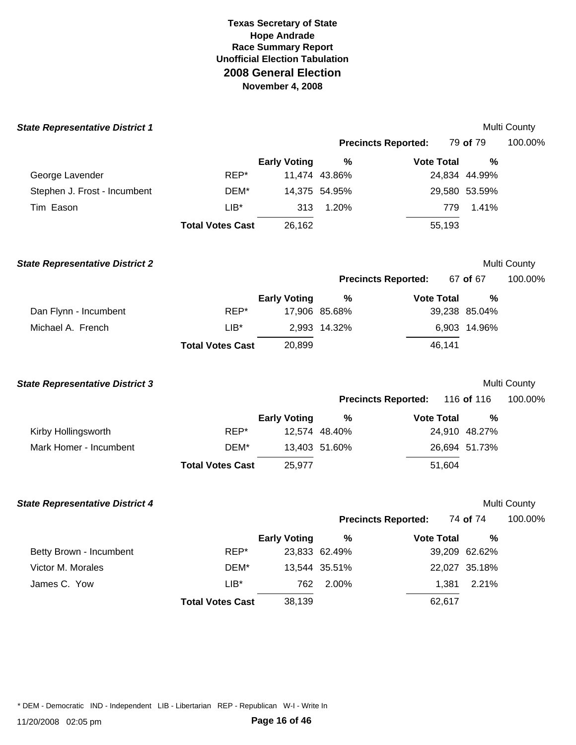| <b>State Representative District 1</b> |                         |                     |               |                            |               | Multi County |
|----------------------------------------|-------------------------|---------------------|---------------|----------------------------|---------------|--------------|
|                                        |                         |                     |               | <b>Precincts Reported:</b> | 79 of 79      | 100.00%      |
|                                        |                         | <b>Early Voting</b> | %             | <b>Vote Total</b>          | %             |              |
| George Lavender                        | REP*                    |                     | 11,474 43.86% |                            | 24,834 44.99% |              |
| Stephen J. Frost - Incumbent           | DEM*                    |                     | 14,375 54.95% |                            | 29,580 53.59% |              |
| Tim Eason                              | $LIB*$                  | 313                 | 1.20%         | 779                        | 1.41%         |              |
|                                        | <b>Total Votes Cast</b> | 26,162              |               | 55,193                     |               |              |
| <b>State Representative District 2</b> |                         |                     |               |                            |               | Multi County |
|                                        |                         |                     |               | <b>Precincts Reported:</b> | 67 of 67      | 100.00%      |
|                                        |                         | <b>Early Voting</b> | %             | <b>Vote Total</b>          | $\%$          |              |
| Dan Flynn - Incumbent                  | REP*                    |                     | 17,906 85.68% |                            | 39,238 85.04% |              |
| Michael A. French                      | $LIB^*$                 |                     | 2,993 14.32%  |                            | 6,903 14.96%  |              |
|                                        | <b>Total Votes Cast</b> | 20,899              |               | 46,141                     |               |              |
| <b>State Representative District 3</b> |                         |                     |               |                            |               | Multi County |
|                                        |                         |                     |               | <b>Precincts Reported:</b> | 116 of 116    | 100.00%      |
|                                        |                         | <b>Early Voting</b> | $\%$          | <b>Vote Total</b>          | %             |              |
| Kirby Hollingsworth                    | REP*                    |                     | 12,574 48.40% |                            | 24,910 48.27% |              |
| Mark Homer - Incumbent                 | DEM*                    |                     | 13,403 51.60% |                            | 26,694 51.73% |              |
|                                        | <b>Total Votes Cast</b> | 25,977              |               | 51,604                     |               |              |
| <b>State Representative District 4</b> |                         |                     |               |                            |               | Multi County |
|                                        |                         |                     |               | <b>Precincts Reported:</b> | 74 of 74      | 100.00%      |
|                                        |                         | <b>Early Voting</b> |               | % Vote Total               | $\%$          |              |
| Betty Brown - Incumbent                | REP*                    |                     | 23,833 62.49% |                            | 39,209 62.62% |              |
| Victor M. Morales                      | DEM*                    |                     | 13,544 35.51% |                            | 22,027 35.18% |              |
| James C. Yow                           | $LIB^*$                 | 762                 | 2.00%         | 1,381                      | 2.21%         |              |
|                                        | <b>Total Votes Cast</b> | 38,139              |               | 62,617                     |               |              |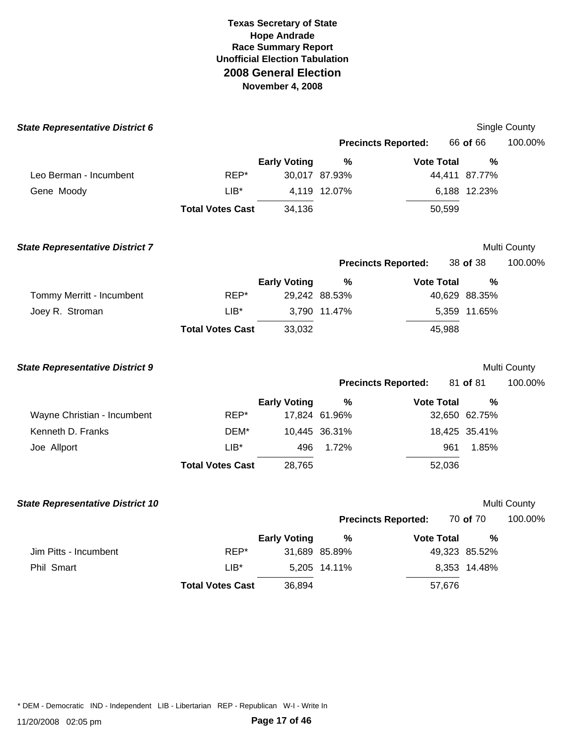| <b>State Representative District 6</b>  |                         |                     |                                |                            |                    | Single County |
|-----------------------------------------|-------------------------|---------------------|--------------------------------|----------------------------|--------------------|---------------|
|                                         |                         |                     |                                | <b>Precincts Reported:</b> | 66 of 66           | 100.00%       |
|                                         |                         | <b>Early Voting</b> | $\%$                           | <b>Vote Total</b>          | $\frac{0}{0}$      |               |
| Leo Berman - Incumbent                  | REP*                    |                     | 30,017 87.93%                  |                            | 44,411 87.77%      |               |
| Gene Moody                              | $LIB^*$                 |                     | 4,119 12.07%                   |                            | 6,188 12.23%       |               |
|                                         | <b>Total Votes Cast</b> | 34,136              |                                | 50,599                     |                    |               |
| <b>State Representative District 7</b>  |                         |                     |                                |                            |                    | Multi County  |
|                                         |                         |                     |                                | <b>Precincts Reported:</b> | 38 of 38           | 100.00%       |
| Tommy Merritt - Incumbent               | REP*                    | <b>Early Voting</b> | $\frac{0}{0}$<br>29,242 88.53% | <b>Vote Total</b>          | %<br>40,629 88.35% |               |
| Joey R. Stroman                         | $LIB*$                  |                     | 3,790 11.47%                   |                            | 5,359 11.65%       |               |
|                                         | <b>Total Votes Cast</b> | 33,032              |                                | 45,988                     |                    |               |
| <b>State Representative District 9</b>  |                         |                     |                                |                            |                    | Multi County  |
|                                         |                         |                     |                                | <b>Precincts Reported:</b> | 81 of 81           | 100.00%       |
|                                         |                         | <b>Early Voting</b> | $\%$                           | <b>Vote Total</b>          | %                  |               |
| Wayne Christian - Incumbent             | REP*                    |                     | 17,824 61.96%                  |                            | 32,650 62.75%      |               |
| Kenneth D. Franks                       | DEM*                    |                     | 10,445 36.31%                  |                            | 18,425 35.41%      |               |
| Joe Allport                             | $LIB*$                  | 496                 | 1.72%                          | 961                        | 1.85%              |               |
|                                         | <b>Total Votes Cast</b> | 28,765              |                                | 52,036                     |                    |               |
| <b>State Representative District 10</b> |                         |                     |                                |                            |                    | Multi County  |
|                                         |                         |                     |                                | <b>Precincts Reported:</b> | 70 of 70           | 100.00%       |
|                                         |                         | <b>Early Voting</b> | %                              | <b>Vote Total</b>          | %                  |               |
| Jim Pitts - Incumbent                   | REP*                    |                     | 31,689 85.89%                  |                            | 49,323 85.52%      |               |
| Phil Smart                              | $LIB*$                  |                     | 5,205 14.11%                   |                            | 8,353 14.48%       |               |
|                                         | <b>Total Votes Cast</b> | 36,894              |                                | 57,676                     |                    |               |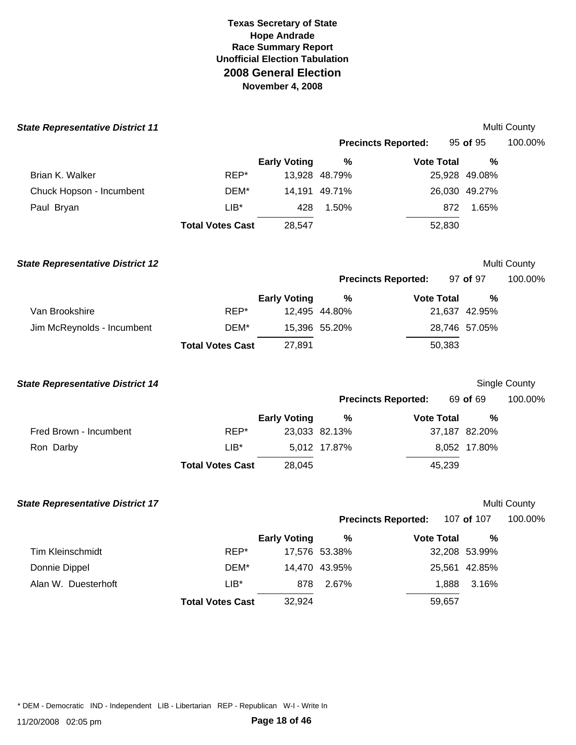| <b>State Representative District 11</b> |                         |                     |               |                            |               | Multi County  |
|-----------------------------------------|-------------------------|---------------------|---------------|----------------------------|---------------|---------------|
|                                         |                         |                     |               | <b>Precincts Reported:</b> | 95 of 95      | 100.00%       |
|                                         |                         | <b>Early Voting</b> | %             | <b>Vote Total</b>          | %             |               |
| Brian K. Walker                         | $REP^*$                 |                     | 13,928 48.79% |                            | 25,928 49.08% |               |
| Chuck Hopson - Incumbent                | DEM*                    |                     | 14,191 49.71% |                            | 26,030 49.27% |               |
| Paul Bryan                              | $LIB*$                  | 428                 | 1.50%         |                            | 1.65%<br>872  |               |
|                                         | <b>Total Votes Cast</b> | 28,547              |               | 52,830                     |               |               |
| <b>State Representative District 12</b> |                         |                     |               |                            |               | Multi County  |
|                                         |                         |                     |               | <b>Precincts Reported:</b> | 97 of 97      | 100.00%       |
|                                         |                         | <b>Early Voting</b> | $\%$          | <b>Vote Total</b>          | %             |               |
| Van Brookshire                          | REP*                    |                     | 12,495 44.80% |                            | 21,637 42.95% |               |
| Jim McReynolds - Incumbent              | DEM*                    |                     | 15,396 55.20% |                            | 28,746 57.05% |               |
|                                         | <b>Total Votes Cast</b> | 27,891              |               | 50,383                     |               |               |
| <b>State Representative District 14</b> |                         |                     |               |                            |               | Single County |
|                                         |                         |                     |               | <b>Precincts Reported:</b> | 69 of 69      | 100.00%       |
|                                         |                         | <b>Early Voting</b> | $\%$          | <b>Vote Total</b>          | %             |               |
| Fred Brown - Incumbent                  | REP*                    |                     | 23,033 82.13% |                            | 37,187 82.20% |               |
| Ron Darby                               | $LIB*$                  |                     | 5,012 17.87%  |                            | 8,052 17.80%  |               |
|                                         | <b>Total Votes Cast</b> | 28,045              |               | 45,239                     |               |               |
| <b>State Representative District 17</b> |                         |                     |               |                            |               | Multi County  |
|                                         |                         |                     |               | <b>Precincts Reported:</b> | 107 of 107    | 100.00%       |
|                                         |                         | <b>Early Voting</b> | $\%$          | <b>Vote Total</b>          | %             |               |
| Tim Kleinschmidt                        | REP*                    |                     | 17,576 53.38% |                            | 32,208 53.99% |               |
| Donnie Dippel                           | DEM*                    |                     | 14,470 43.95% |                            | 25,561 42.85% |               |
| Alan W. Duesterhoft                     | $LIB*$                  | 878                 | 2.67%         | 1,888                      | 3.16%         |               |
|                                         | <b>Total Votes Cast</b> | 32,924              |               | 59,657                     |               |               |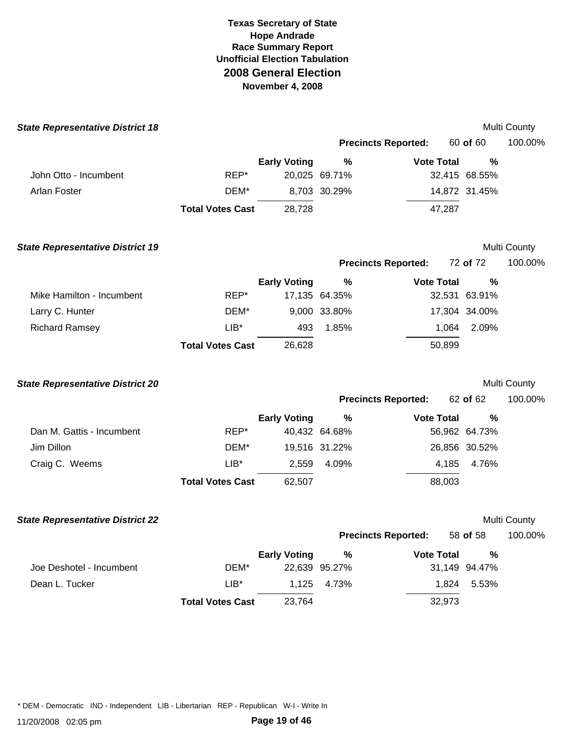| <b>State Representative District 18</b> |                         |                     |               |                            |               | Multi County        |
|-----------------------------------------|-------------------------|---------------------|---------------|----------------------------|---------------|---------------------|
|                                         |                         |                     |               | <b>Precincts Reported:</b> | 60 of 60      | 100.00%             |
|                                         |                         | <b>Early Voting</b> | $\%$          | <b>Vote Total</b>          | %             |                     |
| John Otto - Incumbent                   | REP*                    |                     | 20,025 69.71% |                            | 32,415 68.55% |                     |
| Arlan Foster                            | DEM*                    |                     | 8,703 30.29%  |                            | 14,872 31.45% |                     |
|                                         | <b>Total Votes Cast</b> | 28,728              |               | 47,287                     |               |                     |
| <b>State Representative District 19</b> |                         |                     |               |                            |               | Multi County        |
|                                         |                         |                     |               | <b>Precincts Reported:</b> | 72 of 72      | 100.00%             |
|                                         |                         | <b>Early Voting</b> | $\%$          | <b>Vote Total</b>          | %             |                     |
| Mike Hamilton - Incumbent               | REP*                    |                     | 17,135 64.35% |                            | 32,531 63.91% |                     |
| Larry C. Hunter                         | DEM*                    |                     | 9,000 33.80%  |                            | 17,304 34.00% |                     |
| <b>Richard Ramsey</b>                   | $LIB^*$                 | 493                 | 1.85%         | 1,064                      | 2.09%         |                     |
|                                         | <b>Total Votes Cast</b> | 26,628              |               | 50,899                     |               |                     |
| <b>State Representative District 20</b> |                         |                     |               |                            |               | Multi County        |
|                                         |                         |                     |               | <b>Precincts Reported:</b> | 62 of 62      | 100.00%             |
|                                         |                         | <b>Early Voting</b> | %             | <b>Vote Total</b>          | %             |                     |
| Dan M. Gattis - Incumbent               | REP*                    |                     | 40,432 64.68% |                            | 56,962 64.73% |                     |
| Jim Dillon                              | DEM*                    |                     | 19,516 31.22% |                            | 26,856 30.52% |                     |
| Craig C. Weems                          | $LIB*$                  | 2,559               | 4.09%         | 4,185                      | 4.76%         |                     |
|                                         | <b>Total Votes Cast</b> | 62,507              |               | 88,003                     |               |                     |
| <b>State Representative District 22</b> |                         |                     |               |                            |               | <b>Multi County</b> |
|                                         |                         |                     |               | <b>Precincts Reported:</b> |               | 58 of 58 100.00%    |
|                                         |                         | <b>Early Voting</b> | $\%$          | <b>Vote Total</b>          | $\%$          |                     |
| Joe Deshotel - Incumbent                | DEM*                    |                     | 22,639 95.27% |                            | 31,149 94.47% |                     |
| Dean L. Tucker                          | $LIB*$                  | 1,125               | 4.73%         | 1,824                      | 5.53%         |                     |
|                                         | <b>Total Votes Cast</b> | 23,764              |               | 32,973                     |               |                     |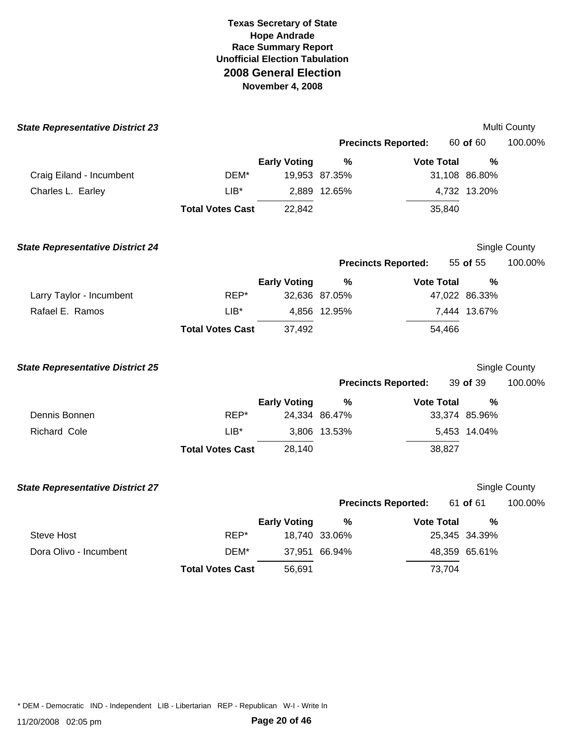| <b>State Representative District 23</b> |                         |                     |               |                            |               | Multi County  |
|-----------------------------------------|-------------------------|---------------------|---------------|----------------------------|---------------|---------------|
|                                         |                         |                     |               | <b>Precincts Reported:</b> | 60 of 60      | 100.00%       |
|                                         |                         | <b>Early Voting</b> | %             | <b>Vote Total</b>          | $\frac{0}{0}$ |               |
| Craig Eiland - Incumbent                | DEM*                    |                     | 19,953 87.35% |                            | 31,108 86.80% |               |
| Charles L. Earley                       | $LIB*$                  |                     | 2,889 12.65%  |                            | 4,732 13.20%  |               |
|                                         | <b>Total Votes Cast</b> | 22,842              |               | 35,840                     |               |               |
| <b>State Representative District 24</b> |                         |                     |               |                            |               | Single County |
|                                         |                         |                     |               | <b>Precincts Reported:</b> | 55 of 55      | 100.00%       |
|                                         |                         | <b>Early Voting</b> | $\%$          | <b>Vote Total</b>          | %             |               |
| Larry Taylor - Incumbent                | REP*                    |                     | 32,636 87.05% |                            | 47,022 86.33% |               |
| Rafael E. Ramos                         | $LIB*$                  |                     | 4,856 12.95%  |                            | 7,444 13.67%  |               |
|                                         | <b>Total Votes Cast</b> | 37,492              |               | 54,466                     |               |               |
| <b>State Representative District 25</b> |                         |                     |               |                            |               | Single County |
|                                         |                         |                     |               | <b>Precincts Reported:</b> | 39 of 39      | 100.00%       |
|                                         |                         | <b>Early Voting</b> | %             | <b>Vote Total</b>          | $\frac{0}{0}$ |               |
| Dennis Bonnen                           | REP*                    |                     | 24,334 86.47% |                            | 33,374 85.96% |               |
| Richard Cole                            | $LIB^*$                 |                     | 3,806 13.53%  |                            | 5,453 14.04%  |               |
|                                         | <b>Total Votes Cast</b> | 28,140              |               | 38,827                     |               |               |
| <b>State Representative District 27</b> |                         |                     |               |                            |               | Single County |
|                                         |                         |                     |               | <b>Precincts Reported:</b> | 61 of 61      | 100.00%       |
|                                         |                         | <b>Early Voting</b> | $\frac{9}{6}$ | <b>Vote Total</b>          | %             |               |
| <b>Steve Host</b>                       | REP*                    |                     | 18,740 33.06% |                            | 25,345 34.39% |               |
| Dora Olivo - Incumbent                  | DEM*                    |                     | 37,951 66.94% |                            | 48,359 65.61% |               |
|                                         | <b>Total Votes Cast</b> | 56,691              |               | 73,704                     |               |               |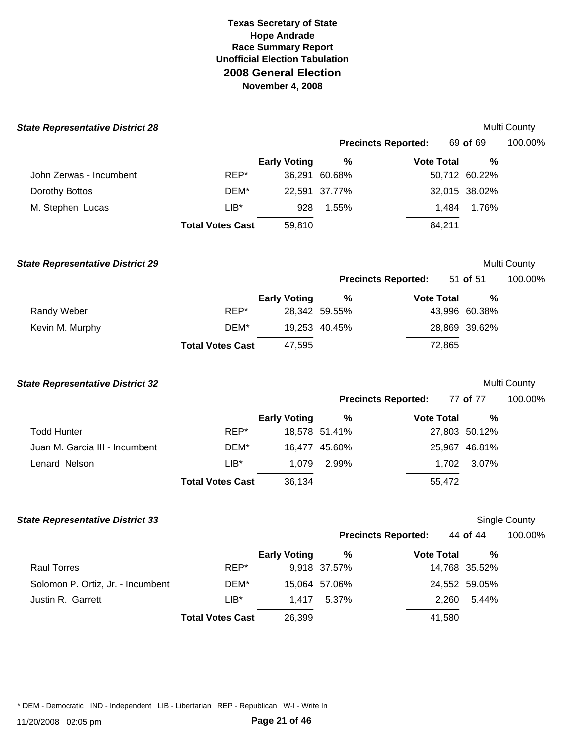| <b>State Representative District 28</b> |                         |                     |                      |                            |                    | Multi County  |
|-----------------------------------------|-------------------------|---------------------|----------------------|----------------------------|--------------------|---------------|
|                                         |                         |                     |                      | <b>Precincts Reported:</b> | 69 of 69           | 100.00%       |
|                                         |                         | <b>Early Voting</b> | $\%$                 | <b>Vote Total</b>          | %                  |               |
| John Zerwas - Incumbent                 | REP*                    |                     | 36,291 60.68%        |                            | 50,712 60.22%      |               |
| Dorothy Bottos                          | DEM*                    |                     | 22,591 37.77%        |                            | 32,015 38.02%      |               |
| M. Stephen Lucas                        | $LIB^*$                 | 928                 | 1.55%                | 1,484                      | 1.76%              |               |
|                                         | <b>Total Votes Cast</b> | 59,810              |                      | 84,211                     |                    |               |
| <b>State Representative District 29</b> |                         |                     |                      |                            |                    | Multi County  |
|                                         |                         |                     |                      | <b>Precincts Reported:</b> | 51 of 51           | 100.00%       |
|                                         |                         | <b>Early Voting</b> | $\%$                 | <b>Vote Total</b>          | %                  |               |
| Randy Weber                             | REP*                    |                     | 28,342 59.55%        |                            | 43,996 60.38%      |               |
| Kevin M. Murphy                         | DEM*                    |                     | 19,253 40.45%        |                            | 28,869 39.62%      |               |
|                                         | <b>Total Votes Cast</b> | 47,595              |                      | 72,865                     |                    |               |
| <b>State Representative District 32</b> |                         |                     |                      |                            |                    | Multi County  |
|                                         |                         |                     |                      | <b>Precincts Reported:</b> | 77 of 77           | 100.00%       |
|                                         |                         | <b>Early Voting</b> | $\%$                 | <b>Vote Total</b>          | %                  |               |
| <b>Todd Hunter</b>                      | REP*                    |                     | 18,578 51.41%        |                            | 27,803 50.12%      |               |
| Juan M. Garcia III - Incumbent          | DEM*                    |                     | 16,477 45.60%        |                            | 25,967 46.81%      |               |
| Lenard Nelson                           | $LIB*$                  | 1,079               | 2.99%                | 1,702                      | 3.07%              |               |
|                                         | <b>Total Votes Cast</b> | 36,134              |                      | 55,472                     |                    |               |
| <b>State Representative District 33</b> |                         |                     |                      |                            |                    | Single County |
|                                         |                         |                     |                      | <b>Precincts Reported:</b> | 44 of 44           | 100.00%       |
| <b>Raul Torres</b>                      | REP*                    | <b>Early Voting</b> | $\%$<br>9,918 37.57% | <b>Vote Total</b>          | %<br>14,768 35.52% |               |
| Solomon P. Ortiz, Jr. - Incumbent       | DEM*                    |                     | 15,064 57.06%        |                            | 24,552 59.05%      |               |
| Justin R. Garrett                       | $LIB*$                  | 1,417               | 5.37%                | 2,260                      | 5.44%              |               |
|                                         | <b>Total Votes Cast</b> | 26,399              |                      | 41,580                     |                    |               |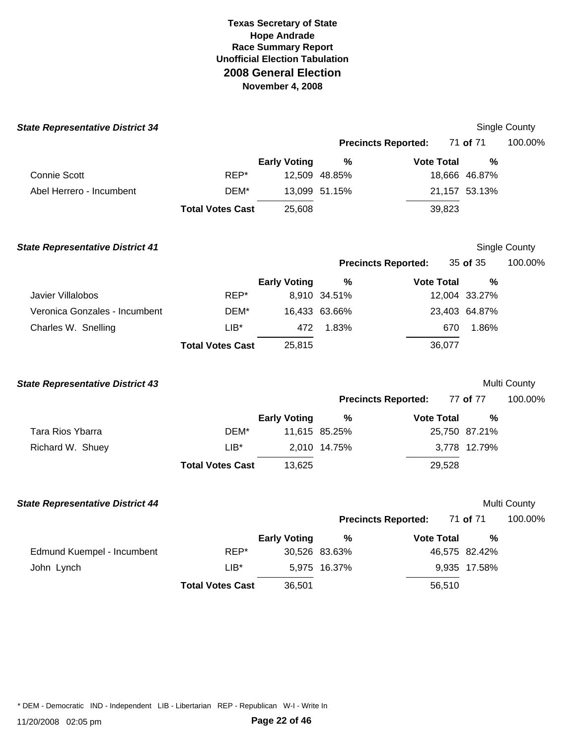| <b>State Representative District 34</b> |                         |                     |               |                            |               | Single County |
|-----------------------------------------|-------------------------|---------------------|---------------|----------------------------|---------------|---------------|
|                                         |                         |                     |               | <b>Precincts Reported:</b> | 71 of 71      | 100.00%       |
|                                         |                         | <b>Early Voting</b> | $\%$          | <b>Vote Total</b>          | $\frac{0}{0}$ |               |
| <b>Connie Scott</b>                     | REP*                    |                     | 12,509 48.85% |                            | 18,666 46.87% |               |
| Abel Herrero - Incumbent                | DEM*                    |                     | 13,099 51.15% |                            | 21,157 53.13% |               |
|                                         | <b>Total Votes Cast</b> | 25,608              |               | 39,823                     |               |               |
| <b>State Representative District 41</b> |                         |                     |               |                            |               | Single County |
|                                         |                         |                     |               | <b>Precincts Reported:</b> | 35 of 35      | 100.00%       |
|                                         |                         | <b>Early Voting</b> | ℅             | <b>Vote Total</b>          | %             |               |
| Javier Villalobos                       | REP*                    |                     | 8,910 34.51%  |                            | 12,004 33.27% |               |
| Veronica Gonzales - Incumbent           | DEM*                    |                     | 16,433 63.66% |                            | 23,403 64.87% |               |
| Charles W. Snelling                     | $LIB^*$                 | 472                 | 1.83%         | 670                        | 1.86%         |               |
|                                         | <b>Total Votes Cast</b> | 25,815              |               | 36,077                     |               |               |
| <b>State Representative District 43</b> |                         |                     |               |                            |               | Multi County  |
|                                         |                         |                     |               | <b>Precincts Reported:</b> | 77 of 77      | 100.00%       |
|                                         |                         | <b>Early Voting</b> | $\%$          | <b>Vote Total</b>          | %             |               |
| Tara Rios Ybarra                        | DEM*                    |                     | 11,615 85.25% |                            | 25,750 87.21% |               |
| Richard W. Shuey                        | $LIB*$                  |                     | 2,010 14.75%  |                            | 3,778 12.79%  |               |
|                                         | <b>Total Votes Cast</b> | 13,625              |               | 29,528                     |               |               |
| <b>State Representative District 44</b> |                         |                     |               |                            |               | Multi County  |
|                                         |                         |                     |               | <b>Precincts Reported:</b> | 71 of 71      | 100.00%       |
|                                         |                         | <b>Early Voting</b> | %             | <b>Vote Total</b>          | $\%$          |               |
| Edmund Kuempel - Incumbent              | REP*                    |                     | 30,526 83.63% |                            | 46,575 82.42% |               |
| John Lynch                              | $LIB^*$                 |                     | 5,975 16.37%  |                            | 9,935 17.58%  |               |
|                                         | <b>Total Votes Cast</b> | 36,501              |               | 56,510                     |               |               |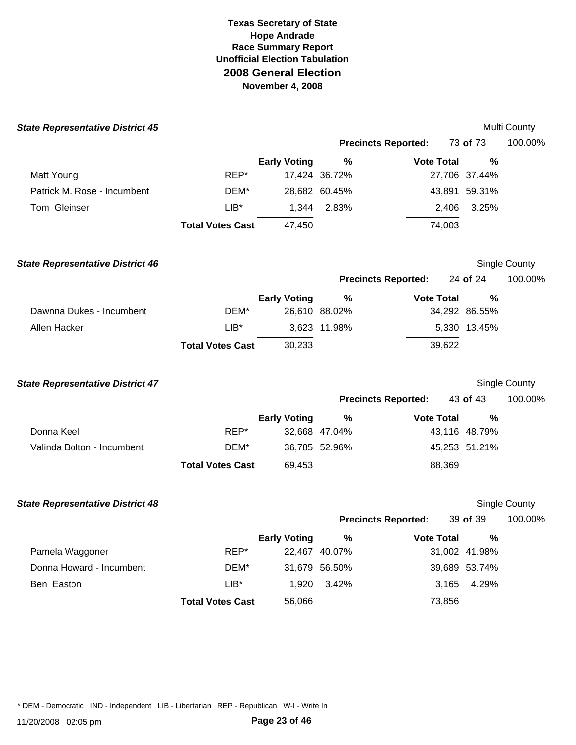| <b>State Representative District 45</b> |                         |                     |               |                            |               | Multi County         |
|-----------------------------------------|-------------------------|---------------------|---------------|----------------------------|---------------|----------------------|
|                                         |                         |                     |               | <b>Precincts Reported:</b> | 73 of 73      | 100.00%              |
|                                         |                         | <b>Early Voting</b> | $\%$          | <b>Vote Total</b>          | %             |                      |
| Matt Young                              | REP*                    |                     | 17,424 36.72% |                            | 27,706 37.44% |                      |
| Patrick M. Rose - Incumbent             | DEM*                    |                     | 28,682 60.45% |                            | 43,891 59.31% |                      |
| Tom Gleinser                            | $LIB*$                  | 1,344               | 2.83%         | 2,406                      | 3.25%         |                      |
|                                         | <b>Total Votes Cast</b> | 47,450              |               | 74,003                     |               |                      |
| <b>State Representative District 46</b> |                         |                     |               |                            |               | Single County        |
|                                         |                         |                     |               | <b>Precincts Reported:</b> | 24 of 24      | 100.00%              |
|                                         |                         | <b>Early Voting</b> | %             | <b>Vote Total</b>          | %             |                      |
| Dawnna Dukes - Incumbent                | DEM*                    |                     | 26,610 88.02% |                            | 34,292 86.55% |                      |
| Allen Hacker                            | $LIB^*$                 |                     | 3,623 11.98%  |                            | 5,330 13.45%  |                      |
|                                         | <b>Total Votes Cast</b> | 30,233              |               | 39,622                     |               |                      |
| <b>State Representative District 47</b> |                         |                     |               |                            |               | <b>Single County</b> |
|                                         |                         |                     |               | <b>Precincts Reported:</b> | 43 of 43      | 100.00%              |
|                                         |                         | <b>Early Voting</b> | %             | <b>Vote Total</b>          | %             |                      |
| Donna Keel                              | REP*                    |                     | 32,668 47.04% |                            | 43,116 48.79% |                      |
| Valinda Bolton - Incumbent              | DEM*                    |                     | 36,785 52.96% |                            | 45,253 51.21% |                      |
|                                         | <b>Total Votes Cast</b> | 69,453              |               | 88,369                     |               |                      |
| <b>State Representative District 48</b> |                         |                     |               |                            |               | Single County        |
|                                         |                         |                     |               | <b>Precincts Reported:</b> | 39 of 39      | 100.00%              |
|                                         |                         | <b>Early Voting</b> | $\%$          | <b>Vote Total</b>          | %             |                      |
| Pamela Waggoner                         | REP*                    |                     | 22,467 40.07% |                            | 31,002 41.98% |                      |
| Donna Howard - Incumbent                | DEM*                    |                     | 31,679 56.50% |                            | 39,689 53.74% |                      |
| Ben Easton                              | $LIB^*$                 | 1,920               | 3.42%         | 3,165                      | 4.29%         |                      |
|                                         | <b>Total Votes Cast</b> | 56,066              |               | 73,856                     |               |                      |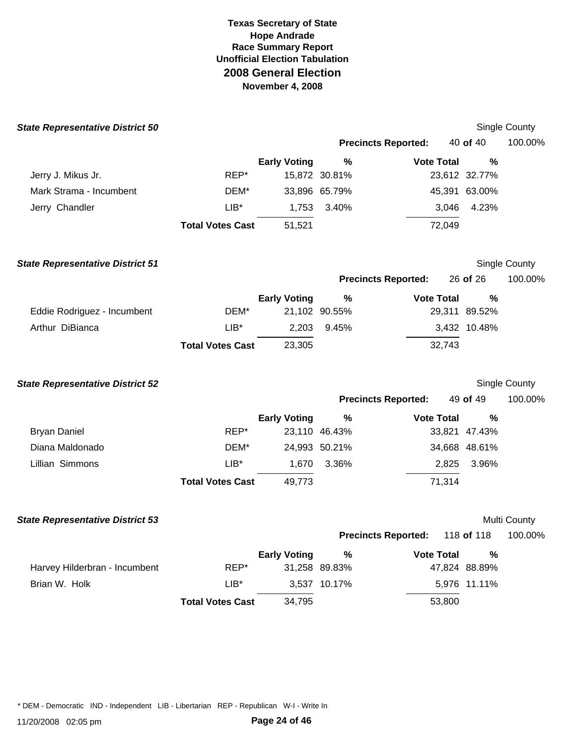| <b>State Representative District 50</b> |                         |                     |               |                            |               | Single County        |
|-----------------------------------------|-------------------------|---------------------|---------------|----------------------------|---------------|----------------------|
|                                         |                         |                     |               | <b>Precincts Reported:</b> | 40 of 40      | 100.00%              |
|                                         |                         | <b>Early Voting</b> | $\%$          | <b>Vote Total</b>          | %             |                      |
| Jerry J. Mikus Jr.                      | REP*                    |                     | 15,872 30.81% |                            | 23,612 32.77% |                      |
| Mark Strama - Incumbent                 | DEM*                    |                     | 33,896 65.79% |                            | 45,391 63.00% |                      |
| Jerry Chandler                          | $LIB^*$                 | 1,753               | 3.40%         | 3,046                      | 4.23%         |                      |
|                                         | <b>Total Votes Cast</b> | 51,521              |               | 72,049                     |               |                      |
| <b>State Representative District 51</b> |                         |                     |               |                            |               | Single County        |
|                                         |                         |                     |               | <b>Precincts Reported:</b> | 26 of 26      | 100.00%              |
|                                         |                         | <b>Early Voting</b> | $\%$          | <b>Vote Total</b>          | %             |                      |
| Eddie Rodriguez - Incumbent             | DEM*                    |                     | 21,102 90.55% |                            | 29,311 89.52% |                      |
| Arthur DiBianca                         | $LIB*$                  | 2,203               | 9.45%         |                            | 3,432 10.48%  |                      |
|                                         | <b>Total Votes Cast</b> | 23,305              |               | 32,743                     |               |                      |
| <b>State Representative District 52</b> |                         |                     |               |                            |               | <b>Single County</b> |
|                                         |                         |                     |               | <b>Precincts Reported:</b> | 49 of 49      | 100.00%              |
|                                         |                         | <b>Early Voting</b> | $\%$          | <b>Vote Total</b>          | %             |                      |
| <b>Bryan Daniel</b>                     | REP*                    |                     | 23,110 46.43% |                            | 33,821 47.43% |                      |
| Diana Maldonado                         | DEM*                    |                     | 24,993 50.21% |                            | 34,668 48.61% |                      |
| Lillian Simmons                         | $LIB*$                  | 1,670               | 3.36%         | 2,825                      | 3.96%         |                      |
|                                         | <b>Total Votes Cast</b> | 49,773              |               | 71,314                     |               |                      |
| <b>State Representative District 53</b> |                         |                     |               |                            |               | Multi County         |
|                                         |                         |                     |               | <b>Precincts Reported:</b> | 118 of 118    | 100.00%              |
|                                         |                         | <b>Early Voting</b> | %             | <b>Vote Total</b>          | $\%$          |                      |
| Harvey Hilderbran - Incumbent           | REP*                    |                     | 31,258 89.83% |                            | 47,824 88.89% |                      |
| Brian W. Holk                           | $LIB^*$                 |                     | 3,537 10.17%  |                            | 5,976 11.11%  |                      |
|                                         | <b>Total Votes Cast</b> | 34,795              |               | 53,800                     |               |                      |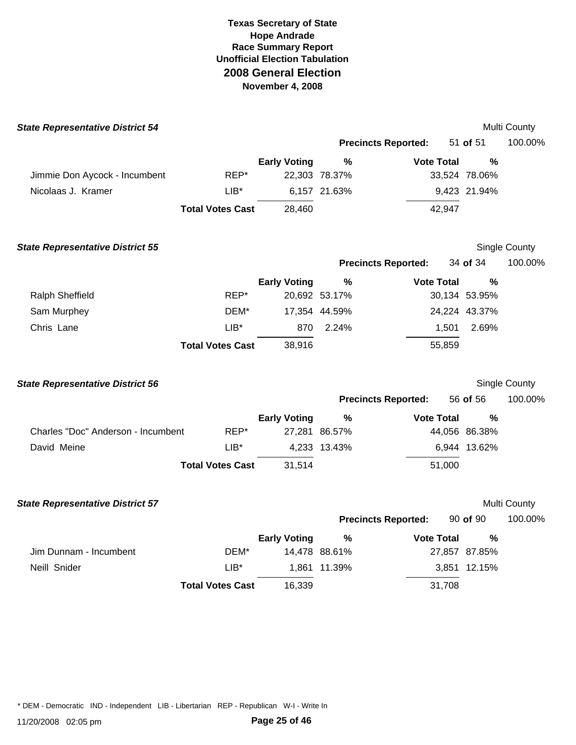| <b>State Representative District 54</b> |                         |                     |               |                            |               | Multi County         |
|-----------------------------------------|-------------------------|---------------------|---------------|----------------------------|---------------|----------------------|
|                                         |                         |                     |               | <b>Precincts Reported:</b> | 51 of 51      | 100.00%              |
|                                         |                         | <b>Early Voting</b> | $\frac{0}{0}$ | <b>Vote Total</b>          | %             |                      |
| Jimmie Don Aycock - Incumbent           | REP*                    |                     | 22,303 78.37% |                            | 33,524 78.06% |                      |
| Nicolaas J. Kramer                      | $LIB^*$                 |                     | 6,157 21.63%  |                            | 9,423 21.94%  |                      |
|                                         | <b>Total Votes Cast</b> | 28,460              |               | 42,947                     |               |                      |
| <b>State Representative District 55</b> |                         |                     |               |                            |               | Single County        |
|                                         |                         |                     |               | <b>Precincts Reported:</b> | 34 of 34      | 100.00%              |
|                                         |                         | <b>Early Voting</b> | %             | <b>Vote Total</b>          | %             |                      |
| Ralph Sheffield                         | REP*                    |                     | 20,692 53.17% |                            | 30,134 53.95% |                      |
| Sam Murphey                             | DEM*                    |                     | 17,354 44.59% |                            | 24,224 43.37% |                      |
| Chris Lane                              | $LIB^*$                 | 870                 | 2.24%         | 1,501                      | 2.69%         |                      |
|                                         | <b>Total Votes Cast</b> | 38,916              |               | 55,859                     |               |                      |
| <b>State Representative District 56</b> |                         |                     |               |                            |               | <b>Single County</b> |
|                                         |                         |                     |               | <b>Precincts Reported:</b> | 56 of 56      | 100.00%              |
|                                         |                         | <b>Early Voting</b> | %             | <b>Vote Total</b>          | %             |                      |
| Charles "Doc" Anderson - Incumbent      | REP*                    |                     | 27,281 86.57% |                            | 44,056 86.38% |                      |
| David Meine                             | $LIB*$                  |                     | 4,233 13.43%  |                            | 6,944 13.62%  |                      |
|                                         | <b>Total Votes Cast</b> | 31,514              |               | 51,000                     |               |                      |
| <b>State Representative District 57</b> |                         |                     |               |                            |               | Multi County         |
|                                         |                         |                     |               | <b>Precincts Reported:</b> | 90 of 90      | 100.00%              |
|                                         |                         | <b>Early Voting</b> | %             | <b>Vote Total</b>          | %             |                      |
| Jim Dunnam - Incumbent                  | DEM*                    |                     | 14,478 88.61% |                            | 27,857 87.85% |                      |
| Neill Snider                            | $LIB^*$                 |                     | 1,861 11.39%  |                            | 3,851 12.15%  |                      |
|                                         | <b>Total Votes Cast</b> | 16,339              |               | 31,708                     |               |                      |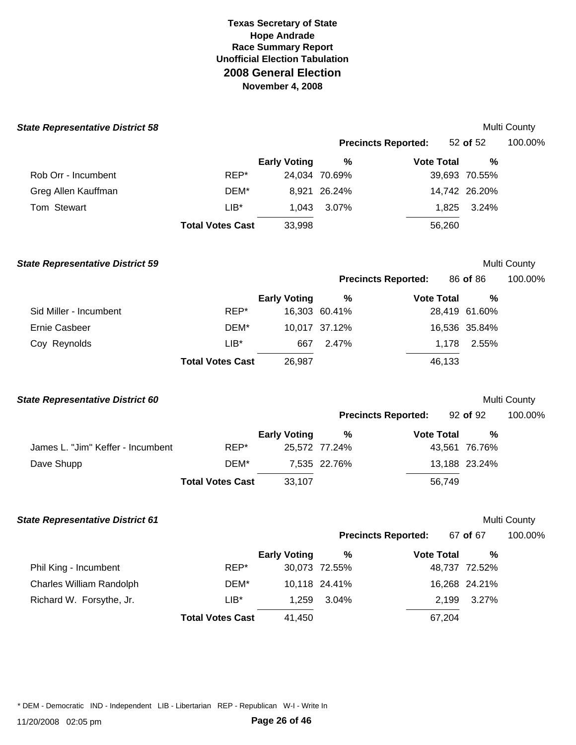| <b>State Representative District 58</b> |                         |                     |               |                            |               | Multi County |
|-----------------------------------------|-------------------------|---------------------|---------------|----------------------------|---------------|--------------|
|                                         |                         |                     |               | <b>Precincts Reported:</b> | 52 of 52      | 100.00%      |
|                                         |                         | <b>Early Voting</b> | $\%$          | <b>Vote Total</b>          | %             |              |
| Rob Orr - Incumbent                     | REP*                    |                     | 24,034 70.69% |                            | 39,693 70.55% |              |
| Greg Allen Kauffman                     | DEM*                    |                     | 8,921 26.24%  |                            | 14,742 26.20% |              |
| Tom Stewart                             | $LIB^*$                 | 1,043               | 3.07%         | 1,825                      | 3.24%         |              |
|                                         | <b>Total Votes Cast</b> | 33,998              |               | 56,260                     |               |              |
| <b>State Representative District 59</b> |                         |                     |               |                            |               | Multi County |
|                                         |                         |                     |               | <b>Precincts Reported:</b> | 86 of 86      | 100.00%      |
|                                         |                         | <b>Early Voting</b> | $\%$          | <b>Vote Total</b>          | %             |              |
| Sid Miller - Incumbent                  | REP*                    |                     | 16,303 60.41% |                            | 28,419 61.60% |              |
| <b>Ernie Casbeer</b>                    | DEM*                    |                     | 10,017 37.12% |                            | 16,536 35.84% |              |
| Coy Reynolds                            | $LIB^*$                 | 667                 | 2.47%         | 1,178                      | 2.55%         |              |
|                                         | <b>Total Votes Cast</b> | 26,987              |               | 46,133                     |               |              |
| <b>State Representative District 60</b> |                         |                     |               |                            |               | Multi County |
|                                         |                         |                     |               | <b>Precincts Reported:</b> | 92 of 92      | 100.00%      |
|                                         |                         | <b>Early Voting</b> | $\%$          | <b>Vote Total</b>          | %             |              |
| James L. "Jim" Keffer - Incumbent       | REP*                    |                     | 25,572 77.24% |                            | 43,561 76.76% |              |
| Dave Shupp                              | DEM*                    |                     | 7,535 22.76%  |                            | 13,188 23.24% |              |
|                                         | <b>Total Votes Cast</b> | 33,107              |               | 56,749                     |               |              |
| <b>State Representative District 61</b> |                         |                     |               |                            |               | Multi County |
|                                         |                         |                     |               | <b>Precincts Reported:</b> | 67 of 67      | 100.00%      |
|                                         |                         | <b>Early Voting</b> | %             | <b>Vote Total</b>          | %             |              |
| Phil King - Incumbent                   | REP*                    |                     | 30,073 72.55% |                            | 48,737 72.52% |              |
| Charles William Randolph                | DEM*                    |                     | 10,118 24.41% |                            | 16,268 24.21% |              |
| Richard W. Forsythe, Jr.                | $LIB^*$                 | 1,259               | 3.04%         | 2,199                      | 3.27%         |              |
|                                         | <b>Total Votes Cast</b> | 41,450              |               | 67,204                     |               |              |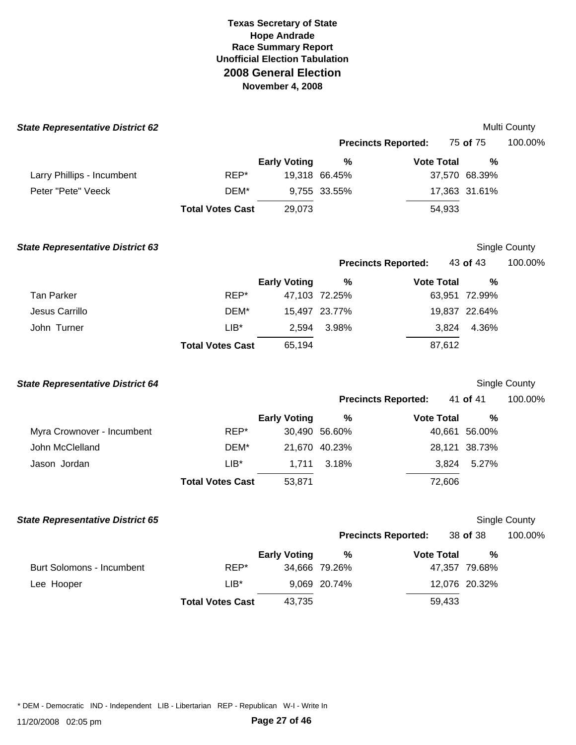| <b>State Representative District 62</b> |                         |                     |               |                            |               | Multi County     |
|-----------------------------------------|-------------------------|---------------------|---------------|----------------------------|---------------|------------------|
|                                         |                         |                     |               | <b>Precincts Reported:</b> | 75 of 75      | 100.00%          |
|                                         |                         | <b>Early Voting</b> | $\%$          | <b>Vote Total</b>          | %             |                  |
| Larry Phillips - Incumbent              | REP*                    |                     | 19,318 66.45% |                            | 37,570 68.39% |                  |
| Peter "Pete" Veeck                      | DEM*                    |                     | 9,755 33.55%  |                            | 17,363 31.61% |                  |
|                                         | <b>Total Votes Cast</b> | 29,073              |               | 54,933                     |               |                  |
| <b>State Representative District 63</b> |                         |                     |               |                            |               | Single County    |
|                                         |                         |                     |               | <b>Precincts Reported:</b> | 43 of 43      | 100.00%          |
|                                         |                         | <b>Early Voting</b> | $\%$          | <b>Vote Total</b>          | %             |                  |
| <b>Tan Parker</b>                       | REP*                    |                     | 47,103 72.25% |                            | 63,951 72.99% |                  |
| Jesus Carrillo                          | DEM*                    |                     | 15,497 23.77% |                            | 19,837 22.64% |                  |
| John Turner                             | $LIB*$                  | 2,594               | 3.98%         | 3,824                      | 4.36%         |                  |
|                                         | <b>Total Votes Cast</b> | 65,194              |               | 87,612                     |               |                  |
| <b>State Representative District 64</b> |                         |                     |               |                            |               | Single County    |
|                                         |                         |                     |               | <b>Precincts Reported:</b> | 41 of 41      | 100.00%          |
|                                         |                         | <b>Early Voting</b> | $\%$          | <b>Vote Total</b>          | %             |                  |
| Myra Crownover - Incumbent              | REP*                    |                     | 30,490 56.60% |                            | 40,661 56.00% |                  |
| John McClelland                         | DEM*                    |                     | 21,670 40.23% |                            | 28,121 38.73% |                  |
| Jason Jordan                            | $LIB*$                  | 1,711               | 3.18%         | 3,824                      | 5.27%         |                  |
|                                         | <b>Total Votes Cast</b> | 53,871              |               | 72,606                     |               |                  |
| <b>State Representative District 65</b> |                         |                     |               |                            |               | Single County    |
|                                         |                         |                     |               | <b>Precincts Reported:</b> |               | 38 of 38 100.00% |
|                                         |                         | <b>Early Voting</b> | $\%$          | <b>Vote Total</b>          | %             |                  |
| <b>Burt Solomons - Incumbent</b>        | REP*                    |                     | 34,666 79.26% |                            | 47,357 79.68% |                  |
| Lee Hooper                              | $LIB*$                  |                     | 9,069 20.74%  |                            | 12,076 20.32% |                  |
|                                         | <b>Total Votes Cast</b> | 43,735              |               | 59,433                     |               |                  |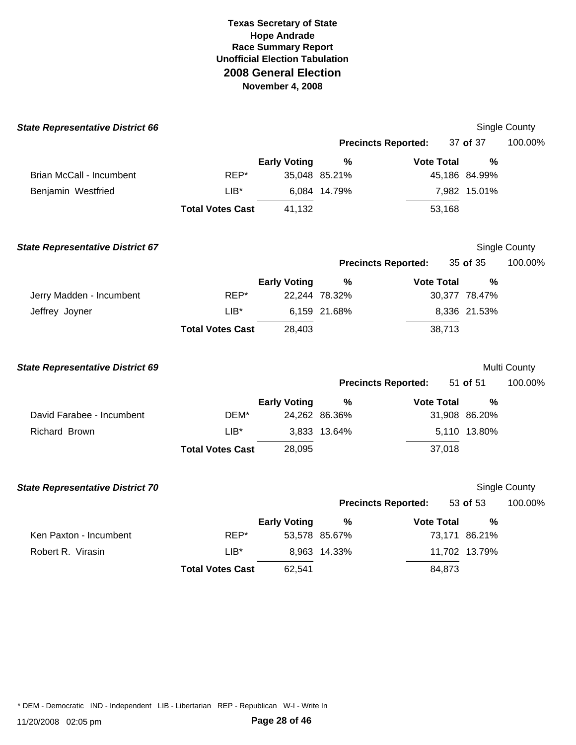| <b>State Representative District 66</b> |                         |                     |               |                            |               | Single County |
|-----------------------------------------|-------------------------|---------------------|---------------|----------------------------|---------------|---------------|
|                                         |                         |                     |               | <b>Precincts Reported:</b> | 37 of 37      | 100.00%       |
|                                         |                         | <b>Early Voting</b> | %             | <b>Vote Total</b>          | $\frac{0}{0}$ |               |
| <b>Brian McCall - Incumbent</b>         | REP*                    |                     | 35,048 85.21% |                            | 45,186 84.99% |               |
| Benjamin Westfried                      | $LIB*$                  |                     | 6,084 14.79%  |                            | 7,982 15.01%  |               |
|                                         | <b>Total Votes Cast</b> | 41,132              |               | 53,168                     |               |               |
| <b>State Representative District 67</b> |                         |                     |               |                            |               | Single County |
|                                         |                         |                     |               | <b>Precincts Reported:</b> | 35 of 35      | 100.00%       |
|                                         |                         | <b>Early Voting</b> | $\%$          | <b>Vote Total</b>          | $\frac{0}{0}$ |               |
| Jerry Madden - Incumbent                | REP*                    |                     | 22,244 78.32% |                            | 30,377 78.47% |               |
| Jeffrey Joyner                          | $LIB*$                  |                     | 6,159 21.68%  |                            | 8,336 21.53%  |               |
|                                         | <b>Total Votes Cast</b> | 28,403              |               | 38,713                     |               |               |
| <b>State Representative District 69</b> |                         |                     |               |                            |               | Multi County  |
|                                         |                         |                     |               | <b>Precincts Reported:</b> | 51 of 51      | 100.00%       |
|                                         |                         | <b>Early Voting</b> | $\%$          | <b>Vote Total</b>          | $\%$          |               |
| David Farabee - Incumbent               | DEM*                    |                     | 24,262 86.36% |                            | 31,908 86.20% |               |
| Richard Brown                           | $LIB*$                  |                     | 3,833 13.64%  |                            | 5,110 13.80%  |               |
|                                         | <b>Total Votes Cast</b> | 28,095              |               | 37,018                     |               |               |
| <b>State Representative District 70</b> |                         |                     |               |                            |               | Single County |
|                                         |                         |                     |               | <b>Precincts Reported:</b> | 53 of 53      | 100.00%       |
|                                         |                         | <b>Early Voting</b> | %             | <b>Vote Total</b>          | $\frac{0}{0}$ |               |
| Ken Paxton - Incumbent                  | REP*                    |                     | 53,578 85.67% |                            | 73,171 86.21% |               |
| Robert R. Virasin                       | $LIB^*$                 |                     | 8,963 14.33%  |                            | 11,702 13.79% |               |
|                                         |                         |                     |               |                            |               |               |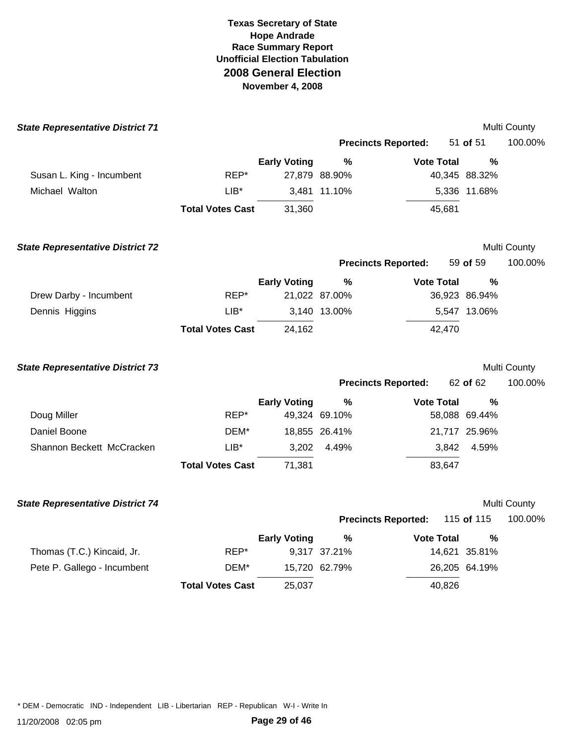| <b>State Representative District 71</b> |                         |                     |                       |                            |                                | Multi County |
|-----------------------------------------|-------------------------|---------------------|-----------------------|----------------------------|--------------------------------|--------------|
|                                         |                         |                     |                       | <b>Precincts Reported:</b> | 51 of 51                       | 100.00%      |
|                                         |                         | <b>Early Voting</b> | %                     | <b>Vote Total</b>          | %                              |              |
| Susan L. King - Incumbent               | REP*                    |                     | 27,879 88.90%         |                            | 40,345 88.32%                  |              |
| Michael Walton                          | $LIB*$                  |                     | 3,481 11.10%          |                            | 5,336 11.68%                   |              |
|                                         | <b>Total Votes Cast</b> | 31,360              |                       | 45,681                     |                                |              |
| <b>State Representative District 72</b> |                         |                     |                       |                            |                                | Multi County |
|                                         |                         |                     |                       | <b>Precincts Reported:</b> | 59 of 59                       | 100.00%      |
| Drew Darby - Incumbent                  | REP*                    | <b>Early Voting</b> | $\%$<br>21,022 87.00% | <b>Vote Total</b>          | $\frac{0}{0}$<br>36,923 86.94% |              |
| Dennis Higgins                          | $LIB*$                  |                     | 3,140 13.00%          |                            | 5,547 13.06%                   |              |
|                                         | <b>Total Votes Cast</b> | 24,162              |                       | 42,470                     |                                |              |
| <b>State Representative District 73</b> |                         |                     |                       |                            |                                | Multi County |
|                                         |                         |                     |                       | <b>Precincts Reported:</b> | 62 of 62                       | 100.00%      |
|                                         |                         | <b>Early Voting</b> | $\%$                  | <b>Vote Total</b>          | $\frac{0}{0}$                  |              |
| Doug Miller                             | REP*                    |                     | 49,324 69.10%         |                            | 58,088 69.44%                  |              |
| Daniel Boone                            | DEM*                    |                     | 18,855 26.41%         |                            | 21,717 25.96%                  |              |
| Shannon Beckett McCracken               | $LIB*$                  | 3,202               | 4.49%                 | 3,842                      | 4.59%                          |              |
|                                         | <b>Total Votes Cast</b> | 71,381              |                       | 83,647                     |                                |              |
| <b>State Representative District 74</b> |                         |                     |                       |                            |                                | Multi County |
|                                         |                         |                     |                       | <b>Precincts Reported:</b> | 115 of 115                     | 100.00%      |
|                                         |                         | <b>Early Voting</b> | $\%$                  | <b>Vote Total</b>          | %                              |              |
| Thomas (T.C.) Kincaid, Jr.              | REP*                    |                     | 9,317 37.21%          |                            | 14,621 35.81%                  |              |
| Pete P. Gallego - Incumbent             | DEM*                    |                     | 15,720 62.79%         |                            | 26,205 64.19%                  |              |
|                                         | <b>Total Votes Cast</b> | 25,037              |                       | 40,826                     |                                |              |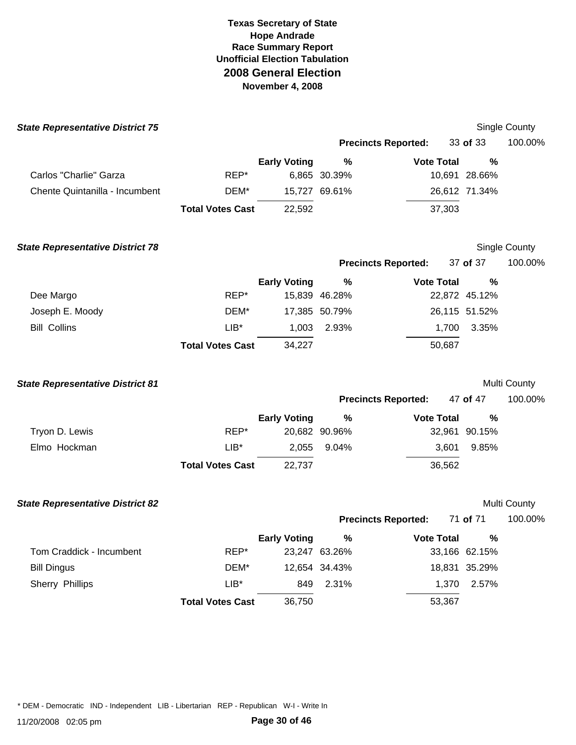| <b>State Representative District 75</b> |                         |                     |               |                            |               | Single County |
|-----------------------------------------|-------------------------|---------------------|---------------|----------------------------|---------------|---------------|
|                                         |                         |                     |               | <b>Precincts Reported:</b> | 33 of 33      | 100.00%       |
|                                         |                         | <b>Early Voting</b> | %             | <b>Vote Total</b>          | %             |               |
| Carlos "Charlie" Garza                  | REP*                    |                     | 6,865 30.39%  |                            | 10,691 28.66% |               |
| Chente Quintanilla - Incumbent          | DEM*                    |                     | 15,727 69.61% |                            | 26,612 71.34% |               |
|                                         | <b>Total Votes Cast</b> | 22,592              |               | 37,303                     |               |               |
| <b>State Representative District 78</b> |                         |                     |               |                            |               | Single County |
|                                         |                         |                     |               | <b>Precincts Reported:</b> | 37 of 37      | 100.00%       |
|                                         |                         | <b>Early Voting</b> | %             | <b>Vote Total</b>          | %             |               |
| Dee Margo                               | REP*                    |                     | 15,839 46.28% |                            | 22,872 45.12% |               |
| Joseph E. Moody                         | DEM*                    |                     | 17,385 50.79% |                            | 26,115 51.52% |               |
| <b>Bill Collins</b>                     | $LIB*$                  | 1,003               | 2.93%         | 1,700                      | 3.35%         |               |
|                                         | <b>Total Votes Cast</b> | 34,227              |               | 50,687                     |               |               |
| <b>State Representative District 81</b> |                         |                     |               |                            |               | Multi County  |
|                                         |                         |                     |               | <b>Precincts Reported:</b> | 47 of 47      | 100.00%       |
|                                         |                         | <b>Early Voting</b> | $\frac{9}{6}$ | <b>Vote Total</b>          | %             |               |
| Tryon D. Lewis                          | REP*                    |                     | 20,682 90.96% |                            | 32,961 90.15% |               |
| Elmo Hockman                            | $LIB*$                  | 2,055               | 9.04%         | 3,601                      | 9.85%         |               |
|                                         | <b>Total Votes Cast</b> | 22,737              |               | 36,562                     |               |               |
| <b>State Representative District 82</b> |                         |                     |               |                            |               | Multi County  |
|                                         |                         |                     |               | <b>Precincts Reported:</b> | 71 of 71      | 100.00%       |
|                                         |                         | <b>Early Voting</b> |               | $\%$<br><b>Vote Total</b>  | $\%$          |               |
| Tom Craddick - Incumbent                | REP*                    |                     | 23,247 63.26% |                            | 33,166 62.15% |               |
| <b>Bill Dingus</b>                      | DEM*                    |                     | 12,654 34.43% |                            | 18,831 35.29% |               |
| Sherry Phillips                         | LIB*                    | 849                 | 2.31%         | 1,370                      | 2.57%         |               |
|                                         | <b>Total Votes Cast</b> | 36,750              |               | 53,367                     |               |               |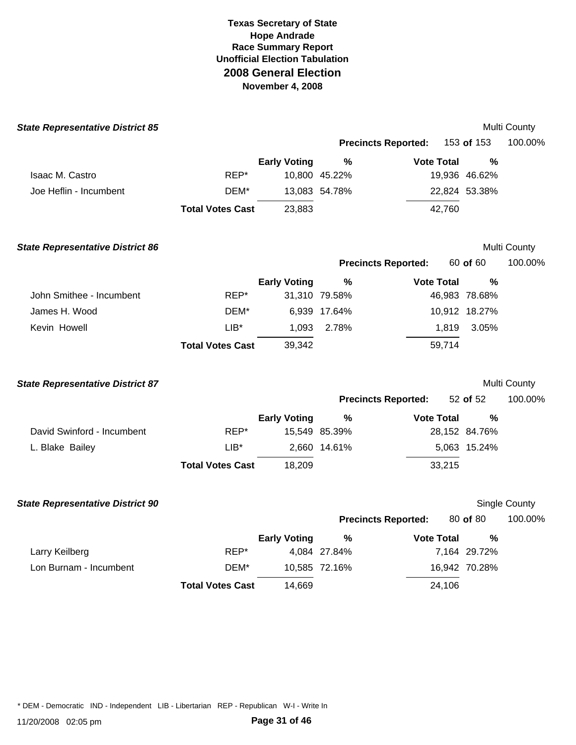| <b>State Representative District 85</b> |                         |                     |               |                            |               | Multi County        |
|-----------------------------------------|-------------------------|---------------------|---------------|----------------------------|---------------|---------------------|
|                                         |                         |                     |               | <b>Precincts Reported:</b> | 153 of 153    | 100.00%             |
|                                         |                         | <b>Early Voting</b> | $\frac{0}{0}$ | <b>Vote Total</b>          | $\frac{0}{0}$ |                     |
| Isaac M. Castro                         | REP*                    |                     | 10,800 45.22% |                            | 19,936 46.62% |                     |
| Joe Heflin - Incumbent                  | DEM*                    |                     | 13,083 54.78% |                            | 22,824 53.38% |                     |
|                                         | <b>Total Votes Cast</b> | 23,883              |               | 42,760                     |               |                     |
| <b>State Representative District 86</b> |                         |                     |               |                            |               | Multi County        |
|                                         |                         |                     |               | <b>Precincts Reported:</b> | 60 of 60      | 100.00%             |
|                                         |                         | <b>Early Voting</b> | $\frac{0}{0}$ | <b>Vote Total</b>          | $\frac{0}{0}$ |                     |
| John Smithee - Incumbent                | REP*                    |                     | 31,310 79.58% |                            | 46,983 78.68% |                     |
| James H. Wood                           | DEM*                    |                     | 6,939 17.64%  |                            | 10,912 18.27% |                     |
| Kevin Howell                            | LIB*                    | 1,093               | 2.78%         | 1,819                      | 3.05%         |                     |
|                                         | <b>Total Votes Cast</b> | 39,342              |               | 59,714                     |               |                     |
| <b>State Representative District 87</b> |                         |                     |               |                            |               | <b>Multi County</b> |
|                                         |                         |                     |               | <b>Precincts Reported:</b> | 52 of 52      | 100.00%             |
|                                         |                         | <b>Early Voting</b> | %             | <b>Vote Total</b>          | $\frac{0}{0}$ |                     |
| David Swinford - Incumbent              | REP*                    |                     | 15,549 85.39% |                            | 28,152 84.76% |                     |
| L. Blake Bailey                         | $LIB^*$                 |                     | 2,660 14.61%  |                            | 5,063 15.24%  |                     |
|                                         | <b>Total Votes Cast</b> | 18,209              |               | 33,215                     |               |                     |
| <b>State Representative District 90</b> |                         |                     |               |                            |               | Single County       |
|                                         |                         |                     |               | <b>Precincts Reported:</b> | 80 of 80      | 100.00%             |
|                                         |                         | <b>Early Voting</b> | %             | <b>Vote Total</b>          | $\%$          |                     |
| Larry Keilberg                          | REP*                    |                     | 4,084 27.84%  |                            | 7,164 29.72%  |                     |
| Lon Burnam - Incumbent                  | DEM*                    |                     | 10,585 72.16% |                            | 16,942 70.28% |                     |
|                                         | <b>Total Votes Cast</b> | 14,669              |               | 24,106                     |               |                     |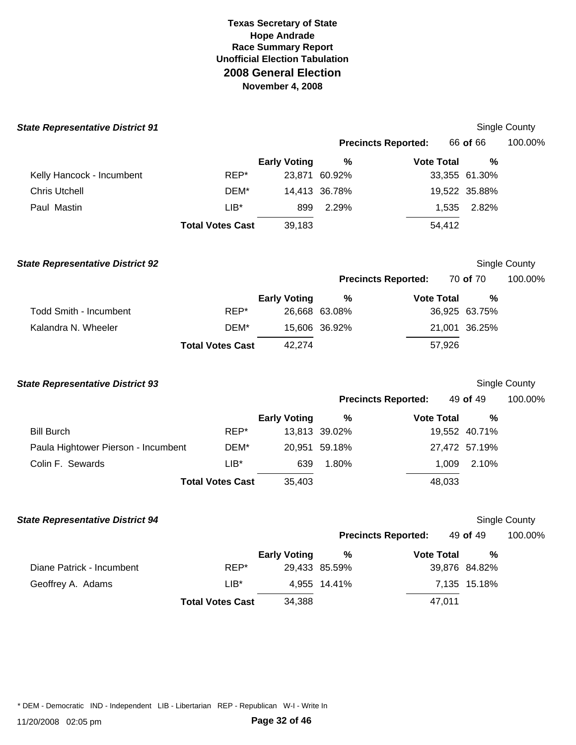| <b>State Representative District 91</b> |                         |                     |               |                            |               | <b>Single County</b> |
|-----------------------------------------|-------------------------|---------------------|---------------|----------------------------|---------------|----------------------|
|                                         |                         |                     |               | <b>Precincts Reported:</b> | 66 of 66      | 100.00%              |
|                                         |                         | <b>Early Voting</b> | $\%$          | <b>Vote Total</b>          | %             |                      |
| Kelly Hancock - Incumbent               | REP*                    |                     | 23,871 60.92% |                            | 33,355 61.30% |                      |
| <b>Chris Utchell</b>                    | DEM*                    |                     | 14,413 36.78% |                            | 19,522 35.88% |                      |
| Paul Mastin                             | $LIB*$                  | 899                 | 2.29%         | 1,535                      | 2.82%         |                      |
|                                         | <b>Total Votes Cast</b> | 39,183              |               | 54,412                     |               |                      |
| <b>State Representative District 92</b> |                         |                     |               |                            |               | Single County        |
|                                         |                         |                     |               | <b>Precincts Reported:</b> | 70 of 70      | 100.00%              |
|                                         |                         | <b>Early Voting</b> | %             | <b>Vote Total</b>          | %             |                      |
| <b>Todd Smith - Incumbent</b>           | REP*                    |                     | 26,668 63.08% |                            | 36,925 63.75% |                      |
| Kalandra N. Wheeler                     | DEM*                    |                     | 15,606 36.92% |                            | 21,001 36.25% |                      |
|                                         | <b>Total Votes Cast</b> | 42,274              |               | 57,926                     |               |                      |
| <b>State Representative District 93</b> |                         |                     |               |                            |               | <b>Single County</b> |
|                                         |                         |                     |               | <b>Precincts Reported:</b> | 49 of 49      | 100.00%              |
|                                         |                         | <b>Early Voting</b> | %             | <b>Vote Total</b>          | %             |                      |
| <b>Bill Burch</b>                       | REP*                    |                     | 13,813 39.02% |                            | 19,552 40.71% |                      |
| Paula Hightower Pierson - Incumbent     | DEM*                    |                     | 20,951 59.18% |                            | 27,472 57.19% |                      |
| Colin F. Sewards                        | $LIB*$                  | 639                 | 1.80%         | 1,009                      | 2.10%         |                      |
|                                         | <b>Total Votes Cast</b> | 35,403              |               | 48,033                     |               |                      |
| <b>State Representative District 94</b> |                         |                     |               |                            |               | <b>Single County</b> |
|                                         |                         |                     |               | <b>Precincts Reported:</b> | 49 of 49      | 100.00%              |
|                                         |                         | <b>Early Voting</b> | %             | <b>Vote Total</b>          | $\%$          |                      |
| Diane Patrick - Incumbent               | REP*                    |                     | 29,433 85.59% |                            | 39,876 84.82% |                      |
| Geoffrey A. Adams                       | $LIB^*$                 |                     | 4,955 14.41%  |                            | 7,135 15.18%  |                      |
|                                         | <b>Total Votes Cast</b> | 34,388              |               | 47,011                     |               |                      |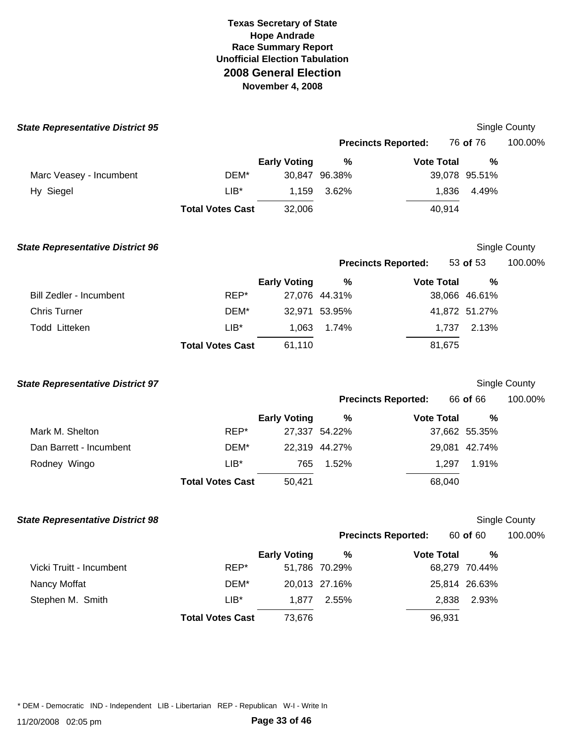| <b>State Representative District 95</b> |                         |                     |                       |                            |                       | Single County        |
|-----------------------------------------|-------------------------|---------------------|-----------------------|----------------------------|-----------------------|----------------------|
|                                         |                         |                     |                       | <b>Precincts Reported:</b> | 76 of 76              | 100.00%              |
|                                         |                         | <b>Early Voting</b> | $\%$                  | <b>Vote Total</b>          | %                     |                      |
| Marc Veasey - Incumbent                 | DEM*                    |                     | 30,847 96.38%         |                            | 39,078 95.51%         |                      |
| Hy Siegel                               | $LIB*$                  | 1,159               | 3.62%                 | 1,836                      | 4.49%                 |                      |
|                                         | <b>Total Votes Cast</b> | 32,006              |                       | 40,914                     |                       |                      |
| <b>State Representative District 96</b> |                         |                     |                       |                            |                       | <b>Single County</b> |
|                                         |                         |                     |                       | <b>Precincts Reported:</b> | 53 of 53              | 100.00%              |
|                                         |                         | <b>Early Voting</b> | %                     | <b>Vote Total</b>          | %                     |                      |
| <b>Bill Zedler - Incumbent</b>          | REP*                    |                     | 27,076 44.31%         |                            | 38,066 46.61%         |                      |
| <b>Chris Turner</b>                     | DEM*                    |                     | 32,971 53.95%         |                            | 41,872 51.27%         |                      |
| Todd Litteken                           | $LIB*$                  | 1,063               | 1.74%                 | 1,737                      | 2.13%                 |                      |
|                                         | <b>Total Votes Cast</b> | 61,110              |                       | 81,675                     |                       |                      |
| <b>State Representative District 97</b> |                         |                     |                       |                            |                       | <b>Single County</b> |
|                                         |                         |                     |                       | <b>Precincts Reported:</b> | 66 of 66              | 100.00%              |
|                                         |                         | <b>Early Voting</b> | %                     | <b>Vote Total</b>          | %                     |                      |
| Mark M. Shelton                         | REP*                    |                     | 27,337 54.22%         |                            | 37,662 55.35%         |                      |
| Dan Barrett - Incumbent                 | DEM*                    |                     | 22,319 44.27%         |                            | 29,081 42.74%         |                      |
| Rodney Wingo                            | $LIB*$                  | 765                 | 1.52%                 | 1,297                      | 1.91%                 |                      |
|                                         | <b>Total Votes Cast</b> | 50,421              |                       | 68,040                     |                       |                      |
| <b>State Representative District 98</b> |                         |                     |                       |                            |                       | <b>Single County</b> |
|                                         |                         |                     |                       | <b>Precincts Reported:</b> | 60 <b>of</b> 60       | 100.00%              |
| Vicki Truitt - Incumbent                | REP*                    | <b>Early Voting</b> | $\%$<br>51,786 70.29% | <b>Vote Total</b>          | $\%$<br>68,279 70.44% |                      |
| Nancy Moffat                            | DEM*                    |                     | 20,013 27.16%         |                            | 25,814 26.63%         |                      |
| Stephen M. Smith                        | $LIB*$                  | 1,877               | 2.55%                 | 2,838                      | 2.93%                 |                      |
|                                         | <b>Total Votes Cast</b> | 73,676              |                       | 96,931                     |                       |                      |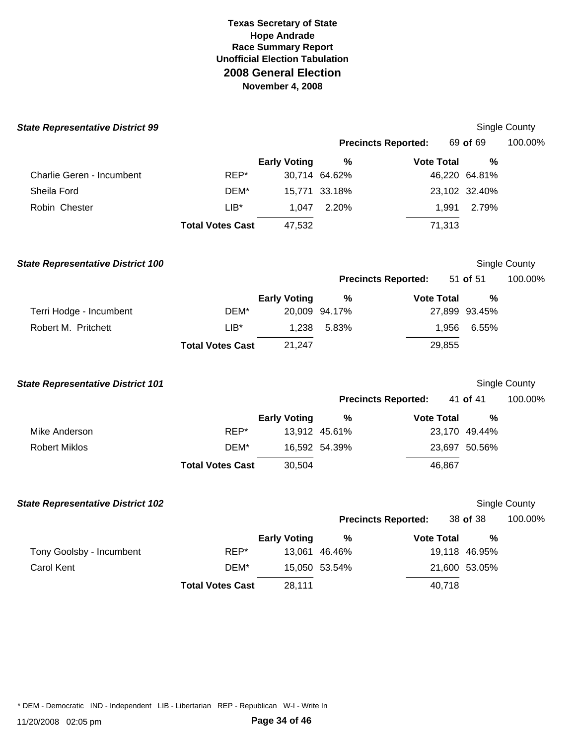| <b>State Representative District 99</b>  |                         |                     |               |                            |               | Single County |
|------------------------------------------|-------------------------|---------------------|---------------|----------------------------|---------------|---------------|
|                                          |                         |                     |               | <b>Precincts Reported:</b> | 69 of 69      | 100.00%       |
|                                          |                         | <b>Early Voting</b> | $\%$          | <b>Vote Total</b>          | $\frac{0}{0}$ |               |
| Charlie Geren - Incumbent                | REP*                    |                     | 30,714 64.62% |                            | 46,220 64.81% |               |
| Sheila Ford                              | DEM*                    |                     | 15,771 33.18% |                            | 23,102 32.40% |               |
| Robin Chester                            | $LIB*$                  | 1,047               | 2.20%         | 1,991                      | 2.79%         |               |
|                                          | <b>Total Votes Cast</b> | 47,532              |               | 71,313                     |               |               |
| <b>State Representative District 100</b> |                         |                     |               |                            |               | Single County |
|                                          |                         |                     |               | <b>Precincts Reported:</b> | 51 of 51      | 100.00%       |
|                                          |                         | <b>Early Voting</b> | $\frac{9}{6}$ | <b>Vote Total</b>          | %             |               |
| Terri Hodge - Incumbent                  | DEM*                    |                     | 20,009 94.17% |                            | 27,899 93.45% |               |
| Robert M. Pritchett                      | $LIB*$                  | 1,238               | 5.83%         | 1,956                      | 6.55%         |               |
|                                          | <b>Total Votes Cast</b> | 21,247              |               | 29,855                     |               |               |
| <b>State Representative District 101</b> |                         |                     |               |                            |               | Single County |
|                                          |                         |                     |               | <b>Precincts Reported:</b> | 41 of 41      | 100.00%       |
|                                          |                         | <b>Early Voting</b> | %             | <b>Vote Total</b>          | $\frac{0}{0}$ |               |
| Mike Anderson                            | REP*                    |                     | 13,912 45.61% |                            | 23,170 49.44% |               |
| <b>Robert Miklos</b>                     | DEM*                    |                     | 16,592 54.39% |                            | 23,697 50.56% |               |
|                                          | <b>Total Votes Cast</b> | 30,504              |               | 46,867                     |               |               |
| <b>State Representative District 102</b> |                         |                     |               |                            |               | Single County |
|                                          |                         |                     |               | <b>Precincts Reported:</b> | 38 of 38      | 100.00%       |
|                                          |                         | <b>Early Voting</b> | $\%$          | <b>Vote Total</b>          | $\frac{0}{0}$ |               |
| Tony Goolsby - Incumbent                 | REP*                    |                     | 13,061 46.46% |                            | 19,118 46.95% |               |
| <b>Carol Kent</b>                        | DEM*                    |                     | 15,050 53.54% |                            | 21,600 53.05% |               |
|                                          | <b>Total Votes Cast</b> | 28,111              |               | 40,718                     |               |               |
|                                          |                         |                     |               |                            |               |               |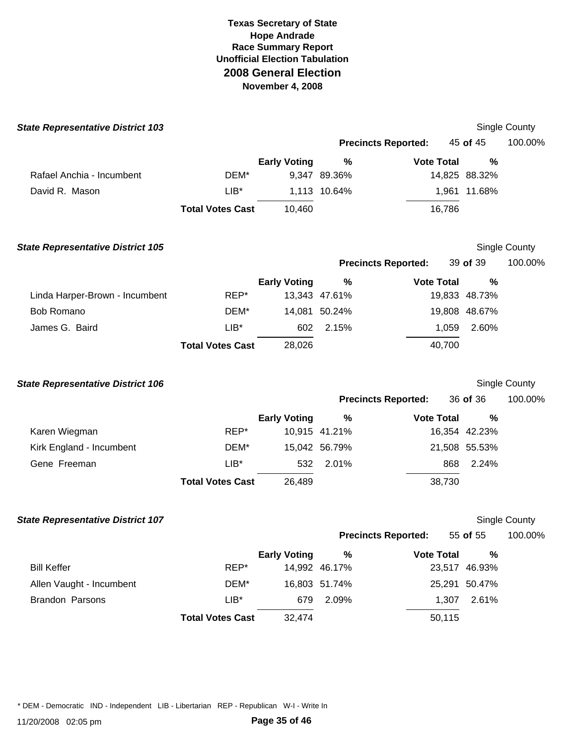| <b>State Representative District 103</b> |                         |                     |               |                            |                | Single County        |
|------------------------------------------|-------------------------|---------------------|---------------|----------------------------|----------------|----------------------|
|                                          |                         |                     |               | <b>Precincts Reported:</b> | 45 of 45       | 100.00%              |
|                                          |                         | <b>Early Voting</b> | $\%$          | <b>Vote Total</b>          | %              |                      |
| Rafael Anchia - Incumbent                | DEM*                    |                     | 9,347 89.36%  |                            | 14,825 88.32%  |                      |
| David R. Mason                           | $LIB*$                  |                     | 1,113 10.64%  |                            | 1,961 11.68%   |                      |
|                                          | <b>Total Votes Cast</b> | 10,460              |               | 16,786                     |                |                      |
| <b>State Representative District 105</b> |                         |                     |               |                            |                | <b>Single County</b> |
|                                          |                         |                     |               | <b>Precincts Reported:</b> | 39 of 39       | 100.00%              |
|                                          |                         | <b>Early Voting</b> | $\%$          | <b>Vote Total</b>          | %              |                      |
| Linda Harper-Brown - Incumbent           | REP*                    |                     | 13,343 47.61% |                            | 19,833 48.73%  |                      |
| <b>Bob Romano</b>                        | DEM*                    |                     | 14,081 50.24% |                            | 19,808 48.67%  |                      |
| James G. Baird                           | $LIB*$                  | 602                 | 2.15%         |                            | 1,059<br>2.60% |                      |
|                                          | <b>Total Votes Cast</b> | 28,026              |               | 40,700                     |                |                      |
| <b>State Representative District 106</b> |                         |                     |               |                            |                | <b>Single County</b> |
|                                          |                         |                     |               | <b>Precincts Reported:</b> | 36 of 36       | 100.00%              |
|                                          |                         | <b>Early Voting</b> | %             | <b>Vote Total</b>          | %              |                      |
| Karen Wiegman                            | REP*                    |                     | 10,915 41.21% |                            | 16,354 42.23%  |                      |
| Kirk England - Incumbent                 | DEM*                    |                     | 15,042 56.79% |                            | 21,508 55.53%  |                      |
| Gene Freeman                             | $LIB*$                  | 532                 | 2.01%         |                            | 2.24%<br>868   |                      |
|                                          | <b>Total Votes Cast</b> | 26,489              |               | 38,730                     |                |                      |
| <b>State Representative District 107</b> |                         |                     |               |                            |                | <b>Single County</b> |
|                                          |                         |                     |               | <b>Precincts Reported:</b> | 55 of $55$     | 100.00%              |
|                                          |                         | <b>Early Voting</b> | $\%$          | <b>Vote Total</b>          | $\%$           |                      |
| <b>Bill Keffer</b>                       | REP*                    |                     | 14,992 46.17% |                            | 23,517 46.93%  |                      |
| Allen Vaught - Incumbent                 | DEM*                    |                     | 16,803 51.74% |                            | 25,291 50.47%  |                      |
| Brandon Parsons                          | $LIB^*$                 | 679                 | 2.09%         |                            | 1,307<br>2.61% |                      |
|                                          | <b>Total Votes Cast</b> | 32,474              |               | 50,115                     |                |                      |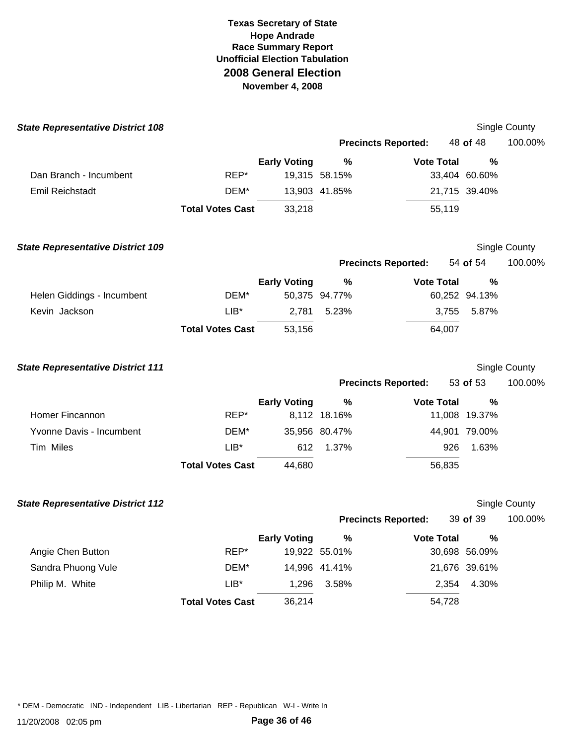| <b>State Representative District 108</b> |                         |                     |               |                            |                       | Single County        |
|------------------------------------------|-------------------------|---------------------|---------------|----------------------------|-----------------------|----------------------|
|                                          |                         |                     |               | <b>Precincts Reported:</b> | 48 of 48              | 100.00%              |
|                                          |                         | <b>Early Voting</b> | $\%$          | <b>Vote Total</b>          | %                     |                      |
| Dan Branch - Incumbent                   | REP*                    |                     | 19,315 58.15% |                            | 33,404 60.60%         |                      |
| <b>Emil Reichstadt</b>                   | DEM*                    |                     | 13,903 41.85% |                            | 21,715 39.40%         |                      |
|                                          | <b>Total Votes Cast</b> | 33,218              |               | 55,119                     |                       |                      |
| <b>State Representative District 109</b> |                         |                     |               |                            |                       | <b>Single County</b> |
|                                          |                         |                     |               | <b>Precincts Reported:</b> | 54 of 54              | 100.00%              |
|                                          |                         | <b>Early Voting</b> | %             | <b>Vote Total</b>          | %                     |                      |
| Helen Giddings - Incumbent               | DEM*                    |                     | 50,375 94.77% |                            | 60,252 94.13%         |                      |
| Kevin Jackson                            | $LIB*$                  | 2,781               | 5.23%         |                            | 3,755 5.87%           |                      |
|                                          | <b>Total Votes Cast</b> | 53,156              |               | 64,007                     |                       |                      |
| <b>State Representative District 111</b> |                         |                     |               |                            |                       | Single County        |
|                                          |                         |                     |               | <b>Precincts Reported:</b> | 53 of 53              | 100.00%              |
|                                          |                         | <b>Early Voting</b> | %             | <b>Vote Total</b>          | %                     |                      |
| Homer Fincannon                          | REP*                    |                     | 8,112 18.16%  |                            | 11,008 19.37%         |                      |
| Yvonne Davis - Incumbent                 | DEM*                    |                     | 35,956 80.47% |                            | 44,901 79.00%         |                      |
| Tim Miles                                | $LIB*$                  | 612                 | 1.37%         | 926                        | 1.63%                 |                      |
|                                          | <b>Total Votes Cast</b> | 44,680              |               | 56,835                     |                       |                      |
| <b>State Representative District 112</b> |                         |                     |               |                            |                       | <b>Single County</b> |
|                                          |                         |                     |               | <b>Precincts Reported:</b> | 39 of 39              | 100.00%              |
| Angie Chen Button                        | REP*                    | <b>Early Voting</b> | 19,922 55.01% | $\%$<br><b>Vote Total</b>  | $\%$<br>30,698 56.09% |                      |
| Sandra Phuong Vule                       | DEM*                    |                     | 14,996 41.41% |                            | 21,676 39.61%         |                      |
| Philip M. White                          | $LIB^*$                 | 1,296               | 3.58%         | 2,354                      | 4.30%                 |                      |
|                                          | <b>Total Votes Cast</b> | 36,214              |               | 54,728                     |                       |                      |
|                                          |                         |                     |               |                            |                       |                      |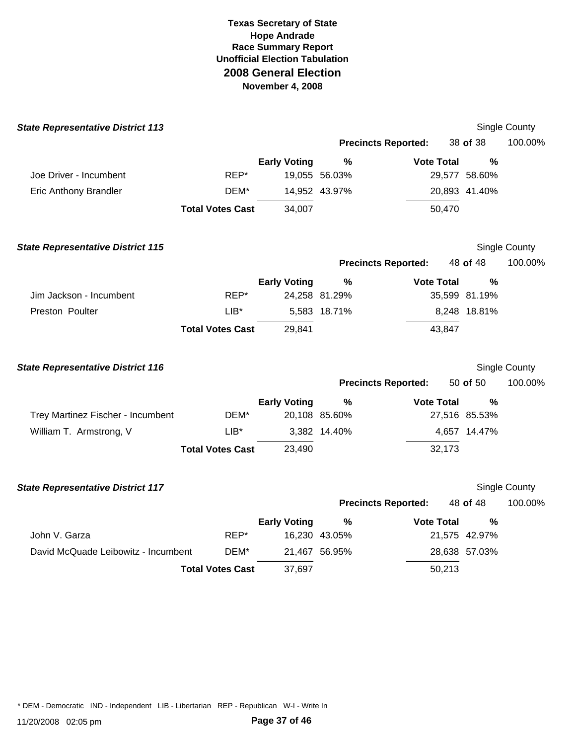| <b>State Representative District 113</b> |                         |                     |               |                            |               | Single County |
|------------------------------------------|-------------------------|---------------------|---------------|----------------------------|---------------|---------------|
|                                          |                         |                     |               | <b>Precincts Reported:</b> | 38 of 38      | 100.00%       |
|                                          |                         | <b>Early Voting</b> | $\frac{9}{6}$ | <b>Vote Total</b>          | $\%$          |               |
| Joe Driver - Incumbent                   | REP*                    |                     | 19,055 56.03% |                            | 29,577 58.60% |               |
| <b>Eric Anthony Brandler</b>             | DEM*                    |                     | 14,952 43.97% |                            | 20,893 41.40% |               |
|                                          | <b>Total Votes Cast</b> | 34,007              |               | 50,470                     |               |               |
| <b>State Representative District 115</b> |                         |                     |               |                            |               | Single County |
|                                          |                         |                     |               | <b>Precincts Reported:</b> | 48 of 48      | 100.00%       |
|                                          |                         | <b>Early Voting</b> | %             | <b>Vote Total</b>          | $\frac{0}{0}$ |               |
| Jim Jackson - Incumbent                  | REP*                    |                     | 24,258 81.29% |                            | 35,599 81.19% |               |
| Preston Poulter                          | $LIB^*$                 |                     | 5,583 18.71%  |                            | 8,248 18.81%  |               |
|                                          | <b>Total Votes Cast</b> | 29,841              |               | 43,847                     |               |               |
| <b>State Representative District 116</b> |                         |                     |               |                            |               | Single County |
|                                          |                         |                     |               | <b>Precincts Reported:</b> | 50 of 50      | 100.00%       |
|                                          |                         | <b>Early Voting</b> | $\frac{9}{6}$ | <b>Vote Total</b>          | %             |               |
| Trey Martinez Fischer - Incumbent        | DEM*                    |                     | 20,108 85.60% |                            | 27,516 85.53% |               |
| William T. Armstrong, V                  | $LIB^*$                 |                     | 3,382 14.40%  |                            | 4,657 14.47%  |               |
|                                          | <b>Total Votes Cast</b> | 23,490              |               | 32,173                     |               |               |
| <b>State Representative District 117</b> |                         |                     |               |                            |               | Single County |
|                                          |                         |                     |               | <b>Precincts Reported:</b> | 48 of 48      | 100.00%       |
|                                          |                         | <b>Early Voting</b> | %             | <b>Vote Total</b>          | $\frac{0}{0}$ |               |
| John V. Garza                            | REP*                    |                     | 16,230 43.05% |                            | 21,575 42.97% |               |
| David McQuade Leibowitz - Incumbent      | DEM*                    | 21,467 56.95%       |               |                            | 28,638 57.03% |               |
|                                          |                         |                     |               |                            |               |               |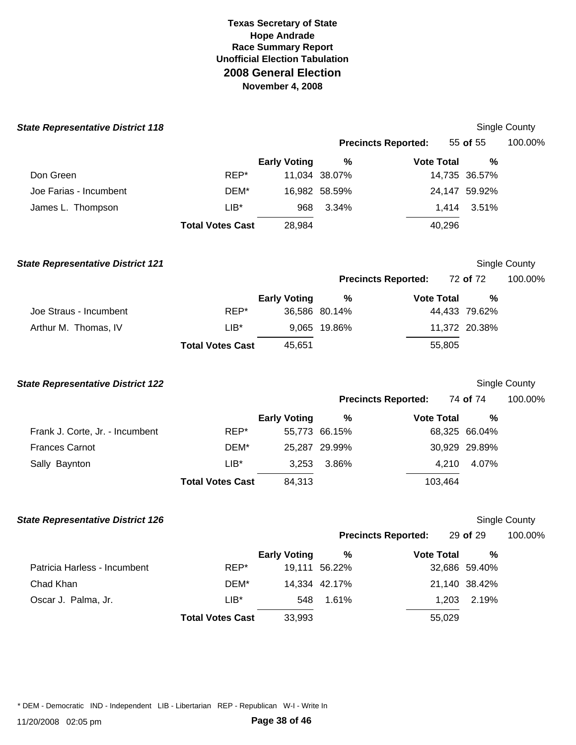| <b>State Representative District 118</b> |                         |                     |               |                            |               | Single County        |
|------------------------------------------|-------------------------|---------------------|---------------|----------------------------|---------------|----------------------|
|                                          |                         |                     |               | <b>Precincts Reported:</b> | 55 of 55      | 100.00%              |
|                                          |                         | <b>Early Voting</b> | $\%$          | <b>Vote Total</b>          | %             |                      |
| Don Green                                | REP*                    |                     | 11,034 38.07% |                            | 14,735 36.57% |                      |
| Joe Farias - Incumbent                   | DEM*                    |                     | 16,982 58.59% |                            | 24,147 59.92% |                      |
| James L. Thompson                        | $LIB^*$                 | 968                 | 3.34%         | 1,414                      | 3.51%         |                      |
|                                          | <b>Total Votes Cast</b> | 28,984              |               | 40,296                     |               |                      |
| <b>State Representative District 121</b> |                         |                     |               |                            |               | Single County        |
|                                          |                         |                     |               | <b>Precincts Reported:</b> | 72 of 72      | 100.00%              |
|                                          |                         | <b>Early Voting</b> | $\%$          | <b>Vote Total</b>          | %             |                      |
| Joe Straus - Incumbent                   | REP*                    |                     | 36,586 80.14% |                            | 44,433 79.62% |                      |
| Arthur M. Thomas, IV                     | $LIB^*$                 |                     | 9,065 19.86%  |                            | 11,372 20.38% |                      |
|                                          | <b>Total Votes Cast</b> | 45,651              |               | 55,805                     |               |                      |
| <b>State Representative District 122</b> |                         |                     |               |                            |               | Single County        |
|                                          |                         |                     |               | <b>Precincts Reported:</b> | 74 of 74      | 100.00%              |
|                                          |                         | <b>Early Voting</b> | $\%$          | <b>Vote Total</b>          | %             |                      |
| Frank J. Corte, Jr. - Incumbent          | REP*                    |                     | 55,773 66.15% |                            | 68,325 66.04% |                      |
| <b>Frances Carnot</b>                    | DEM*                    |                     | 25,287 29.99% |                            | 30,929 29.89% |                      |
| Sally Baynton                            | $LIB*$                  | 3,253               | 3.86%         | 4,210                      | 4.07%         |                      |
|                                          | <b>Total Votes Cast</b> | 84,313              |               | 103,464                    |               |                      |
| <b>State Representative District 126</b> |                         |                     |               |                            |               | <b>Single County</b> |
|                                          |                         |                     |               | <b>Precincts Reported:</b> | 29 of 29      | 100.00%              |
|                                          |                         | <b>Early Voting</b> | $\%$          | <b>Vote Total</b>          | $\%$          |                      |
| Patricia Harless - Incumbent             | REP*                    |                     | 19,111 56.22% |                            | 32,686 59.40% |                      |
| Chad Khan                                | DEM*                    |                     | 14,334 42.17% |                            | 21,140 38.42% |                      |
| Oscar J. Palma, Jr.                      | $LIB^*$                 | 548                 | 1.61%         | 1,203                      | 2.19%         |                      |
|                                          | <b>Total Votes Cast</b> | 33,993              |               | 55,029                     |               |                      |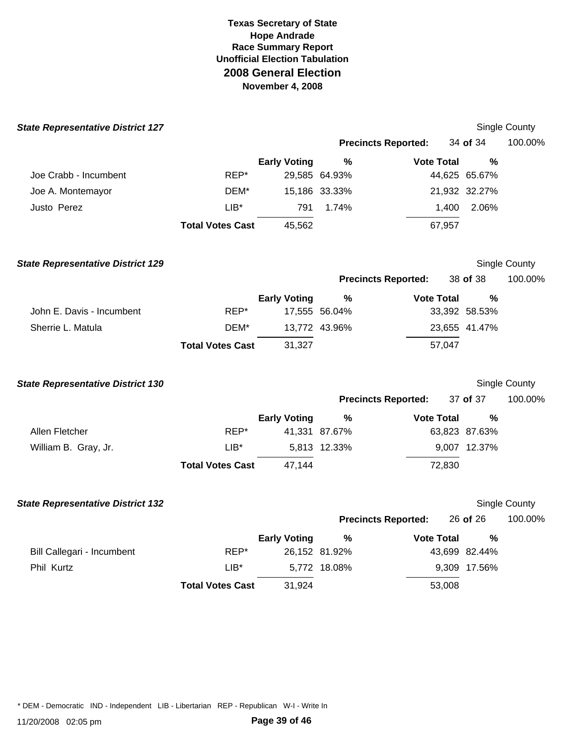| <b>State Representative District 127</b> |                         |                     |               |                            |               | <b>Single County</b> |
|------------------------------------------|-------------------------|---------------------|---------------|----------------------------|---------------|----------------------|
|                                          |                         |                     |               | <b>Precincts Reported:</b> | 34 of 34      | 100.00%              |
|                                          |                         | <b>Early Voting</b> | $\%$          | <b>Vote Total</b>          | $\frac{0}{0}$ |                      |
| Joe Crabb - Incumbent                    | REP*                    |                     | 29,585 64.93% |                            | 44,625 65.67% |                      |
| Joe A. Montemayor                        | DEM*                    |                     | 15,186 33.33% |                            | 21,932 32.27% |                      |
| Justo Perez                              | $LIB*$                  | 791                 | 1.74%         | 1,400                      | 2.06%         |                      |
|                                          | <b>Total Votes Cast</b> | 45,562              |               | 67,957                     |               |                      |
| <b>State Representative District 129</b> |                         |                     |               |                            |               | Single County        |
|                                          |                         |                     |               | <b>Precincts Reported:</b> | 38 of 38      | 100.00%              |
|                                          |                         | <b>Early Voting</b> | ℅             | <b>Vote Total</b>          | $\%$          |                      |
| John E. Davis - Incumbent                | REP*                    |                     | 17,555 56.04% |                            | 33,392 58.53% |                      |
| Sherrie L. Matula                        | DEM*                    |                     | 13,772 43.96% |                            | 23,655 41.47% |                      |
|                                          | <b>Total Votes Cast</b> | 31,327              |               | 57,047                     |               |                      |
| <b>State Representative District 130</b> |                         |                     |               |                            |               | Single County        |
|                                          |                         |                     |               | <b>Precincts Reported:</b> | 37 of 37      | 100.00%              |
|                                          |                         | <b>Early Voting</b> | $\%$          | <b>Vote Total</b>          | $\frac{0}{0}$ |                      |
| Allen Fletcher                           | REP*                    |                     | 41,331 87.67% |                            | 63,823 87.63% |                      |
| William B. Gray, Jr.                     | $LIB*$                  |                     | 5,813 12.33%  |                            | 9,007 12.37%  |                      |
|                                          | <b>Total Votes Cast</b> | 47,144              |               | 72,830                     |               |                      |
| <b>State Representative District 132</b> |                         |                     |               |                            |               | <b>Single County</b> |
|                                          |                         |                     |               | <b>Precincts Reported:</b> | 26 of 26      | 100.00%              |
|                                          |                         | <b>Early Voting</b> | $\%$          | <b>Vote Total</b>          | $\%$          |                      |
| Bill Callegari - Incumbent               | REP*                    |                     | 26,152 81.92% |                            | 43,699 82.44% |                      |
| Phil Kurtz                               | $LIB*$                  |                     | 5,772 18.08%  |                            | 9,309 17.56%  |                      |
|                                          | <b>Total Votes Cast</b> | 31,924              |               | 53,008                     |               |                      |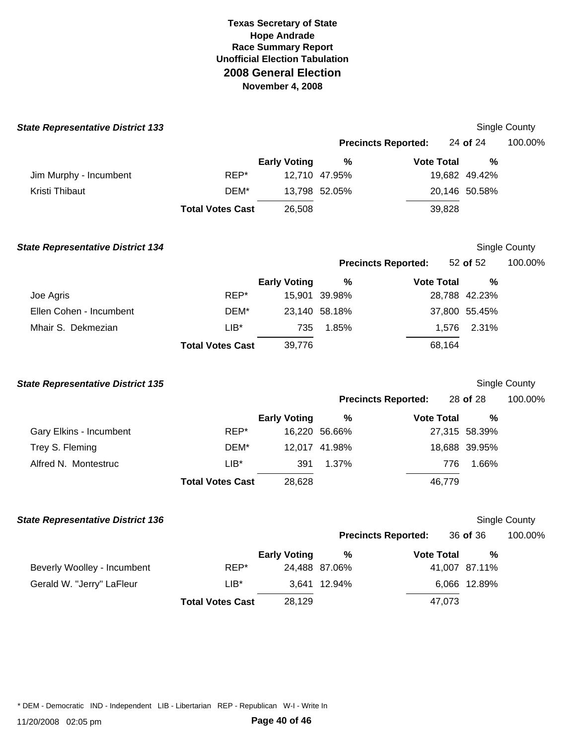| <b>State Representative District 133</b> |                         |                     |               |                            |               | Single County    |
|------------------------------------------|-------------------------|---------------------|---------------|----------------------------|---------------|------------------|
|                                          |                         |                     |               | <b>Precincts Reported:</b> | 24 of 24      | 100.00%          |
|                                          |                         | <b>Early Voting</b> | %             | <b>Vote Total</b>          | %             |                  |
| Jim Murphy - Incumbent                   | REP*                    |                     | 12,710 47.95% |                            | 19,682 49.42% |                  |
| Kristi Thibaut                           | DEM*                    |                     | 13,798 52.05% |                            | 20,146 50.58% |                  |
|                                          | <b>Total Votes Cast</b> | 26,508              |               | 39,828                     |               |                  |
| <b>State Representative District 134</b> |                         |                     |               |                            |               | Single County    |
|                                          |                         |                     |               | <b>Precincts Reported:</b> | 52 of 52      | 100.00%          |
|                                          |                         | <b>Early Voting</b> | %             | <b>Vote Total</b>          | %             |                  |
| Joe Agris                                | REP*                    |                     | 15,901 39.98% |                            | 28,788 42.23% |                  |
| Ellen Cohen - Incumbent                  | DEM*                    |                     | 23,140 58.18% |                            | 37,800 55.45% |                  |
| Mhair S. Dekmezian                       | $LIB^*$                 | 735                 | 1.85%         | 1,576                      | 2.31%         |                  |
|                                          | <b>Total Votes Cast</b> | 39,776              |               | 68,164                     |               |                  |
| <b>State Representative District 135</b> |                         |                     |               |                            |               | Single County    |
|                                          |                         |                     |               | <b>Precincts Reported:</b> | 28 of 28      | 100.00%          |
|                                          |                         | <b>Early Voting</b> | %             | <b>Vote Total</b>          | %             |                  |
| Gary Elkins - Incumbent                  | REP*                    |                     | 16,220 56.66% |                            | 27,315 58.39% |                  |
| Trey S. Fleming                          | DEM*                    |                     | 12,017 41.98% |                            | 18,688 39.95% |                  |
| Alfred N. Montestruc                     | $LIB*$                  | 391                 | 1.37%         | 776                        | 1.66%         |                  |
|                                          | <b>Total Votes Cast</b> | 28,628              |               | 46,779                     |               |                  |
| <b>State Representative District 136</b> |                         |                     |               |                            |               | Single County    |
|                                          |                         |                     |               | <b>Precincts Reported:</b> |               | 36 of 36 100.00% |
|                                          |                         | <b>Early Voting</b> | %             | <b>Vote Total</b>          | $\%$          |                  |
| Beverly Woolley - Incumbent              | REP*                    |                     | 24,488 87.06% |                            | 41,007 87.11% |                  |
| Gerald W. "Jerry" LaFleur                | $LIB*$                  |                     | 3,641 12.94%  |                            | 6,066 12.89%  |                  |
|                                          | <b>Total Votes Cast</b> | 28,129              |               | 47,073                     |               |                  |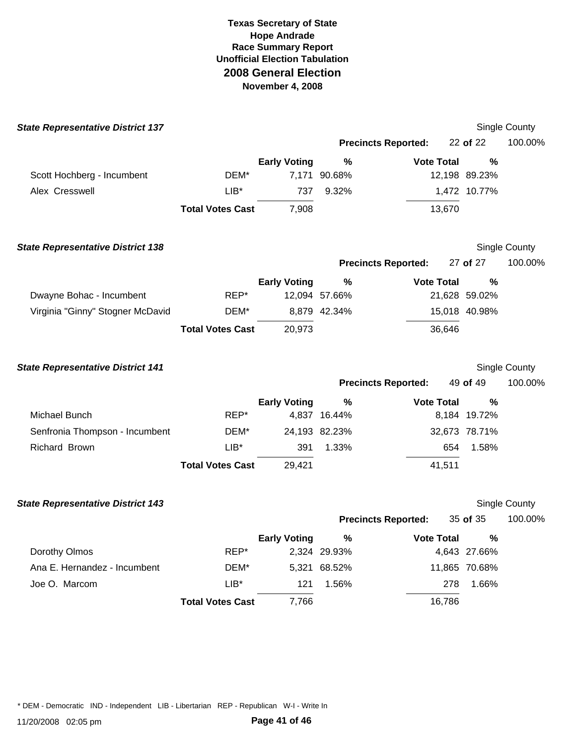| <b>State Representative District 137</b> |                         |                     |               |                            |               |       | Single County |
|------------------------------------------|-------------------------|---------------------|---------------|----------------------------|---------------|-------|---------------|
|                                          |                         |                     |               | <b>Precincts Reported:</b> | 22 of 22      |       | 100.00%       |
|                                          |                         | <b>Early Voting</b> | $\%$          | <b>Vote Total</b>          |               | %     |               |
| Scott Hochberg - Incumbent               | DEM*                    |                     | 7,171 90.68%  |                            | 12,198 89.23% |       |               |
| Alex Cresswell                           | $LIB*$                  | 737                 | 9.32%         |                            | 1,472 10.77%  |       |               |
|                                          | <b>Total Votes Cast</b> | 7,908               |               | 13,670                     |               |       |               |
| <b>State Representative District 138</b> |                         |                     |               |                            |               |       | Single County |
|                                          |                         |                     |               | <b>Precincts Reported:</b> | 27 of 27      |       | 100.00%       |
|                                          |                         | <b>Early Voting</b> | %             | <b>Vote Total</b>          |               | %     |               |
| Dwayne Bohac - Incumbent                 | REP*                    |                     | 12,094 57.66% |                            | 21,628 59.02% |       |               |
| Virginia "Ginny" Stogner McDavid         | DEM*                    |                     | 8,879 42.34%  |                            | 15,018 40.98% |       |               |
|                                          | <b>Total Votes Cast</b> | 20,973              |               | 36,646                     |               |       |               |
| <b>State Representative District 141</b> |                         |                     |               |                            |               |       | Single County |
|                                          |                         |                     |               | <b>Precincts Reported:</b> | 49 of 49      |       | 100.00%       |
|                                          |                         | <b>Early Voting</b> | $\frac{9}{6}$ | <b>Vote Total</b>          |               | %     |               |
| Michael Bunch                            | REP*                    |                     | 4,837 16.44%  |                            | 8,184 19.72%  |       |               |
| Senfronia Thompson - Incumbent           | DEM*                    |                     | 24,193 82.23% |                            | 32,673 78.71% |       |               |
| Richard Brown                            | $LIB*$                  | 391                 | 1.33%         |                            | 654           | 1.58% |               |
|                                          | <b>Total Votes Cast</b> | 29,421              |               | 41,511                     |               |       |               |
| <b>State Representative District 143</b> |                         |                     |               |                            |               |       | Single County |
|                                          |                         |                     |               | <b>Precincts Reported:</b> | 35 of 35      |       | 100.00%       |
|                                          |                         | <b>Early Voting</b> |               | $\%$<br><b>Vote Total</b>  |               | $\%$  |               |
| Dorothy Olmos                            | REP*                    |                     | 2,324 29.93%  |                            | 4,643 27.66%  |       |               |
| Ana E. Hernandez - Incumbent             | DEM*                    |                     | 5,321 68.52%  |                            | 11,865 70.68% |       |               |
| Joe O. Marcom                            | $LIB*$                  | 121                 | 1.56%         |                            | 278           | 1.66% |               |
|                                          | <b>Total Votes Cast</b> | 7,766               |               | 16,786                     |               |       |               |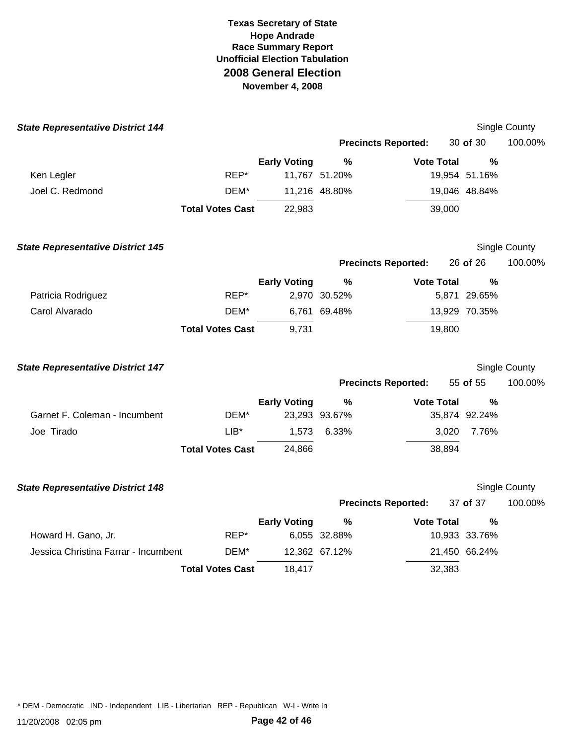| <b>State Representative District 144</b> |                         |                     |               |                            |               | Single County        |
|------------------------------------------|-------------------------|---------------------|---------------|----------------------------|---------------|----------------------|
|                                          |                         |                     |               | <b>Precincts Reported:</b> | 30 of 30      | 100.00%              |
|                                          |                         | <b>Early Voting</b> | $\%$          | <b>Vote Total</b>          | $\frac{0}{0}$ |                      |
| Ken Legler                               | REP*                    |                     | 11,767 51.20% |                            | 19,954 51.16% |                      |
| Joel C. Redmond                          | DEM*                    |                     | 11,216 48.80% |                            | 19,046 48.84% |                      |
|                                          | <b>Total Votes Cast</b> | 22,983              |               | 39,000                     |               |                      |
| <b>State Representative District 145</b> |                         |                     |               |                            |               | Single County        |
|                                          |                         |                     |               | <b>Precincts Reported:</b> | 26 of 26      | 100.00%              |
|                                          |                         | <b>Early Voting</b> | $\%$          | <b>Vote Total</b>          | $\frac{0}{0}$ |                      |
| Patricia Rodriguez                       | REP*                    |                     | 2,970 30.52%  |                            | 5,871 29.65%  |                      |
| Carol Alvarado                           | DEM*                    |                     | 6,761 69.48%  |                            | 13,929 70.35% |                      |
|                                          | <b>Total Votes Cast</b> | 9,731               |               | 19,800                     |               |                      |
| <b>State Representative District 147</b> |                         |                     |               |                            |               | Single County        |
|                                          |                         |                     |               | <b>Precincts Reported:</b> | 55 of 55      | 100.00%              |
|                                          |                         | <b>Early Voting</b> | %             | <b>Vote Total</b>          | $\frac{0}{0}$ |                      |
| Garnet F. Coleman - Incumbent            | DEM*                    |                     | 23,293 93.67% |                            | 35,874 92.24% |                      |
| Joe Tirado                               | $LIB^*$                 | 1,573               | 6.33%         | 3,020                      | 7.76%         |                      |
|                                          | <b>Total Votes Cast</b> | 24,866              |               | 38,894                     |               |                      |
| <b>State Representative District 148</b> |                         |                     |               |                            |               | <b>Single County</b> |
|                                          |                         |                     |               | <b>Precincts Reported:</b> | 37 of 37      | 100.00%              |
|                                          |                         | <b>Early Voting</b> | $\frac{9}{6}$ | <b>Vote Total</b>          | %             |                      |
| Howard H. Gano, Jr.                      | REP*                    |                     | 6,055 32.88%  |                            | 10,933 33.76% |                      |
| Jessica Christina Farrar - Incumbent     | DEM*                    |                     | 12,362 67.12% |                            | 21,450 66.24% |                      |
|                                          | <b>Total Votes Cast</b> | 18,417              |               | 32,383                     |               |                      |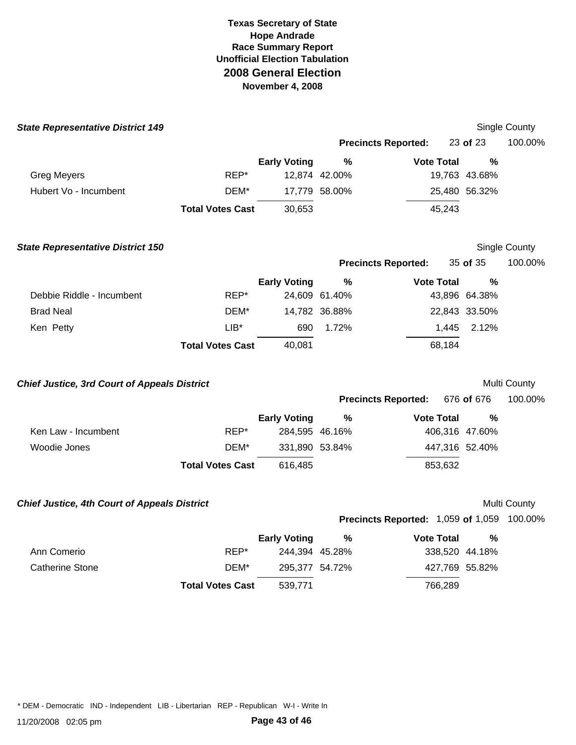| <b>State Representative District 149</b>            |                         |                     |               |                                                   |                | Single County |
|-----------------------------------------------------|-------------------------|---------------------|---------------|---------------------------------------------------|----------------|---------------|
|                                                     |                         |                     |               | <b>Precincts Reported:</b>                        | 23 of 23       | 100.00%       |
|                                                     |                         | <b>Early Voting</b> | $\%$          | <b>Vote Total</b>                                 | $\frac{0}{0}$  |               |
| <b>Greg Meyers</b>                                  | REP*                    |                     | 12,874 42.00% |                                                   | 19,763 43.68%  |               |
| Hubert Vo - Incumbent                               | DEM*                    |                     | 17,779 58.00% |                                                   | 25,480 56.32%  |               |
|                                                     | <b>Total Votes Cast</b> | 30,653              |               | 45,243                                            |                |               |
| <b>State Representative District 150</b>            |                         |                     |               |                                                   |                | Single County |
|                                                     |                         |                     |               | <b>Precincts Reported:</b>                        | 35 of 35       | 100.00%       |
|                                                     |                         | <b>Early Voting</b> | ℅             | <b>Vote Total</b>                                 | %              |               |
| Debbie Riddle - Incumbent                           | REP*                    |                     | 24,609 61.40% |                                                   | 43,896 64.38%  |               |
| <b>Brad Neal</b>                                    | DEM*                    |                     | 14,782 36.88% |                                                   | 22,843 33.50%  |               |
| Ken Petty                                           | $LIB*$                  | 690                 | 1.72%         |                                                   | 1,445<br>2.12% |               |
|                                                     | <b>Total Votes Cast</b> | 40,081              |               | 68,184                                            |                |               |
| <b>Chief Justice, 3rd Court of Appeals District</b> |                         |                     |               |                                                   |                | Multi County  |
|                                                     |                         |                     |               | <b>Precincts Reported:</b>                        | 676 of 676     | 100.00%       |
|                                                     |                         | <b>Early Voting</b> | $\%$          | <b>Vote Total</b>                                 | $\frac{0}{0}$  |               |
| Ken Law - Incumbent                                 | REP*                    | 284,595 46.16%      |               |                                                   | 406,316 47.60% |               |
| Woodie Jones                                        | DEM*                    | 331,890 53.84%      |               |                                                   | 447,316 52.40% |               |
|                                                     | <b>Total Votes Cast</b> | 616,485             |               | 853,632                                           |                |               |
| <b>Chief Justice, 4th Court of Appeals District</b> |                         |                     |               |                                                   |                | Multi County  |
|                                                     |                         |                     |               | <b>Precincts Reported: 1,059 of 1,059 100.00%</b> |                |               |
|                                                     |                         | <b>Early Voting</b> | %             | <b>Vote Total</b>                                 | $\%$           |               |
| Ann Comerio                                         | REP*                    | 244,394 45.28%      |               |                                                   | 338,520 44.18% |               |
| Catherine Stone                                     | DEM*                    | 295,377 54.72%      |               |                                                   | 427,769 55.82% |               |
|                                                     | <b>Total Votes Cast</b> | 539,771             |               | 766,289                                           |                |               |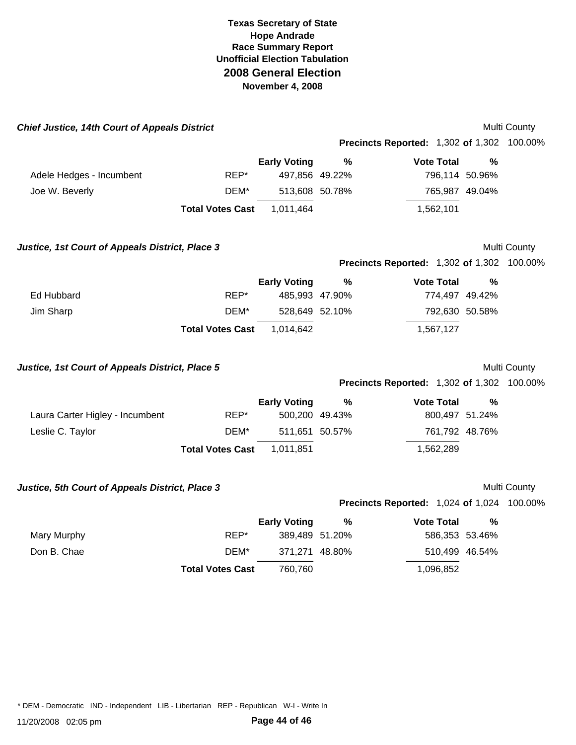| <b>Chief Justice, 14th Court of Appeals District</b> |                         |                     |               |                                                   |               | Multi County |
|------------------------------------------------------|-------------------------|---------------------|---------------|---------------------------------------------------|---------------|--------------|
|                                                      |                         |                     |               | <b>Precincts Reported: 1,302 of 1,302 100.00%</b> |               |              |
|                                                      |                         | <b>Early Voting</b> | $\frac{9}{6}$ | <b>Vote Total</b>                                 | $\frac{0}{0}$ |              |
| Adele Hedges - Incumbent                             | REP*                    | 497,856 49.22%      |               | 796,114 50.96%                                    |               |              |
| Joe W. Beverly                                       | DEM*                    | 513,608 50.78%      |               | 765,987 49.04%                                    |               |              |
|                                                      | <b>Total Votes Cast</b> | 1,011,464           |               | 1,562,101                                         |               |              |
| Justice, 1st Court of Appeals District, Place 3      |                         |                     |               |                                                   |               | Multi County |
|                                                      |                         |                     |               | <b>Precincts Reported: 1,302 of 1,302 100.00%</b> |               |              |
|                                                      |                         | <b>Early Voting</b> | $\%$          | <b>Vote Total</b>                                 | $\%$          |              |
| Ed Hubbard                                           | REP*                    | 485,993 47.90%      |               | 774,497 49.42%                                    |               |              |
| Jim Sharp                                            | DEM*                    | 528,649 52.10%      |               | 792,630 50.58%                                    |               |              |
|                                                      | <b>Total Votes Cast</b> | 1,014,642           |               | 1,567,127                                         |               |              |
| Justice, 1st Court of Appeals District, Place 5      |                         |                     |               |                                                   |               | Multi County |
|                                                      |                         |                     |               | <b>Precincts Reported: 1,302 of 1,302 100.00%</b> |               |              |
|                                                      |                         | <b>Early Voting</b> | %             | <b>Vote Total</b>                                 | $\frac{0}{0}$ |              |
| Laura Carter Higley - Incumbent                      | REP*                    | 500,200 49.43%      |               | 800,497 51.24%                                    |               |              |
| Leslie C. Taylor                                     | DEM*                    | 511,651 50.57%      |               | 761,792 48.76%                                    |               |              |
|                                                      | <b>Total Votes Cast</b> | 1,011,851           |               | 1,562,289                                         |               |              |
| Justice, 5th Court of Appeals District, Place 3      |                         |                     |               |                                                   |               | Multi County |
|                                                      |                         |                     |               | <b>Precincts Reported: 1,024 of 1,024 100.00%</b> |               |              |
|                                                      |                         | <b>Early Voting</b> | %             | <b>Vote Total</b>                                 | $\%$          |              |
| Mary Murphy                                          | REP*                    | 389,489 51.20%      |               | 586,353 53.46%                                    |               |              |
| Don B. Chae                                          | DEM*                    | 371,271 48.80%      |               | 510,499 46.54%                                    |               |              |
|                                                      | <b>Total Votes Cast</b> | 760,760             |               | 1,096,852                                         |               |              |
|                                                      |                         |                     |               |                                                   |               |              |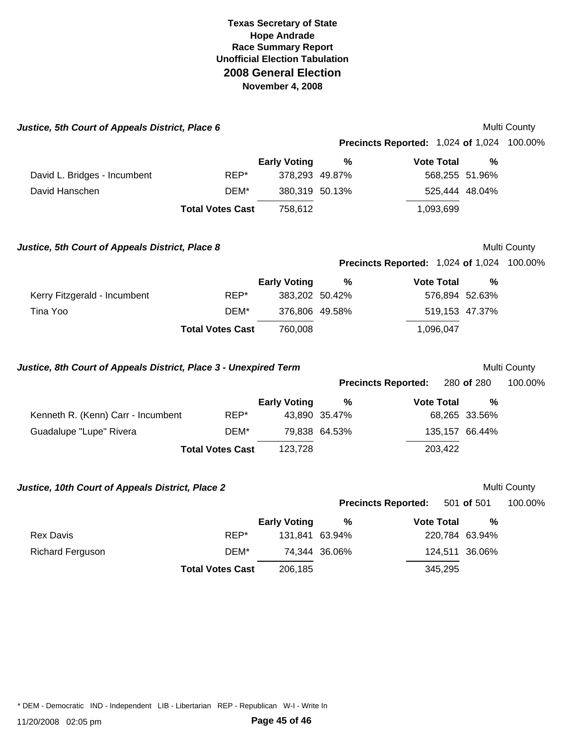| Justice, 5th Court of Appeals District, Place 6                  |                         |                     |               |                                                   |               | Multi County |
|------------------------------------------------------------------|-------------------------|---------------------|---------------|---------------------------------------------------|---------------|--------------|
|                                                                  |                         |                     |               | <b>Precincts Reported: 1,024 of 1,024 100.00%</b> |               |              |
|                                                                  |                         | <b>Early Voting</b> | %             | <b>Vote Total</b>                                 | %             |              |
| David L. Bridges - Incumbent                                     | REP*                    | 378,293 49.87%      |               | 568,255 51.96%                                    |               |              |
| David Hanschen                                                   | DEM*                    | 380,319 50.13%      |               | 525,444 48.04%                                    |               |              |
|                                                                  | <b>Total Votes Cast</b> | 758,612             |               | 1,093,699                                         |               |              |
| Justice, 5th Court of Appeals District, Place 8                  |                         |                     |               |                                                   |               | Multi County |
|                                                                  |                         |                     |               | <b>Precincts Reported: 1,024 of 1,024 100.00%</b> |               |              |
|                                                                  |                         | <b>Early Voting</b> | $\%$          | <b>Vote Total</b>                                 | $\frac{0}{0}$ |              |
| Kerry Fitzgerald - Incumbent                                     | REP*                    | 383,202 50.42%      |               | 576,894 52.63%                                    |               |              |
| Tina Yoo                                                         | DEM*                    | 376,806 49.58%      |               | 519,153 47.37%                                    |               |              |
|                                                                  | <b>Total Votes Cast</b> | 760,008             |               | 1,096,047                                         |               |              |
|                                                                  |                         |                     |               |                                                   |               |              |
| Justice, 8th Court of Appeals District, Place 3 - Unexpired Term |                         |                     |               |                                                   |               | Multi County |
|                                                                  |                         |                     |               | <b>Precincts Reported:</b>                        | 280 of 280    | 100.00%      |
|                                                                  |                         | <b>Early Voting</b> | $\frac{9}{6}$ | <b>Vote Total</b>                                 | %             |              |
| Kenneth R. (Kenn) Carr - Incumbent                               | REP*                    |                     | 43,890 35.47% |                                                   | 68,265 33.56% |              |
| Guadalupe "Lupe" Rivera                                          | DEM*                    |                     | 79,838 64.53% | 135,157 66.44%                                    |               |              |
|                                                                  | <b>Total Votes Cast</b> | 123,728             |               | 203,422                                           |               |              |
|                                                                  |                         |                     |               |                                                   |               |              |
| Justice, 10th Court of Appeals District, Place 2                 |                         |                     |               |                                                   |               | Multi County |
|                                                                  |                         |                     |               | <b>Precincts Reported:</b>                        | 501 of 501    | 100.00%      |
| <b>Rex Davis</b>                                                 | REP*                    | <b>Early Voting</b> | $\frac{9}{6}$ | <b>Vote Total</b>                                 | $\frac{0}{0}$ |              |
| <b>Richard Ferguson</b>                                          | DEM*                    | 131,841 63.94%      | 74,344 36.06% | 220,784 63.94%<br>124,511 36.06%                  |               |              |